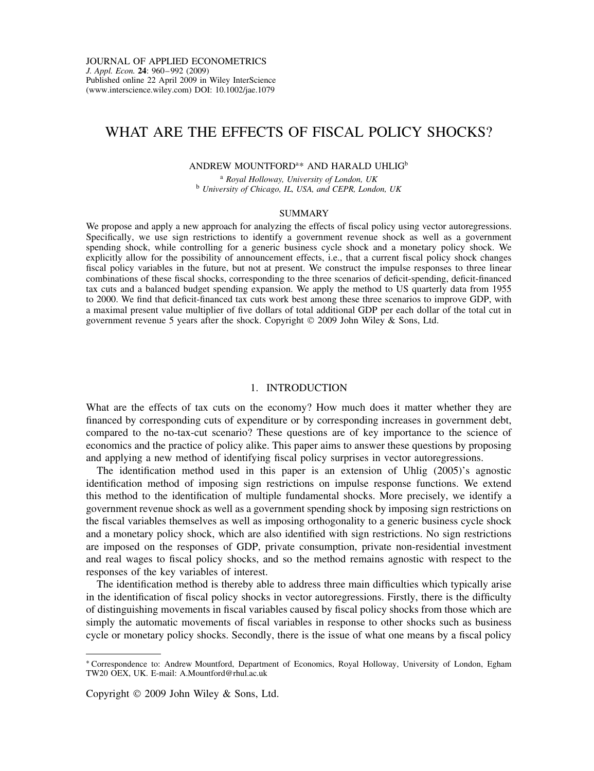# WHAT ARE THE EFFECTS OF FISCAL POLICY SHOCKS?

### ANDREW MOUNTFORD<sup>a\*</sup> AND HARALD UHLIG<sup>b</sup>

<sup>a</sup> *Royal Holloway, University of London, UK* <sup>b</sup> *University of Chicago, IL, USA, and CEPR, London, UK*

#### SUMMARY

We propose and apply a new approach for analyzing the effects of fiscal policy using vector autoregressions. Specifically, we use sign restrictions to identify a government revenue shock as well as a government spending shock, while controlling for a generic business cycle shock and a monetary policy shock. We explicitly allow for the possibility of announcement effects, i.e., that a current fiscal policy shock changes fiscal policy variables in the future, but not at present. We construct the impulse responses to three linear combinations of these fiscal shocks, corresponding to the three scenarios of deficit-spending, deficit-financed tax cuts and a balanced budget spending expansion. We apply the method to US quarterly data from 1955 to 2000. We find that deficit-financed tax cuts work best among these three scenarios to improve GDP, with a maximal present value multiplier of five dollars of total additional GDP per each dollar of the total cut in government revenue 5 years after the shock. Copyright © 2009 John Wiley & Sons, Ltd.

#### 1. INTRODUCTION

What are the effects of tax cuts on the economy? How much does it matter whether they are financed by corresponding cuts of expenditure or by corresponding increases in government debt, compared to the no-tax-cut scenario? These questions are of key importance to the science of economics and the practice of policy alike. This paper aims to answer these questions by proposing and applying a new method of identifying fiscal policy surprises in vector autoregressions.

The identification method used in this paper is an extension of Uhlig (2005)'s agnostic identification method of imposing sign restrictions on impulse response functions. We extend this method to the identification of multiple fundamental shocks. More precisely, we identify a government revenue shock as well as a government spending shock by imposing sign restrictions on the fiscal variables themselves as well as imposing orthogonality to a generic business cycle shock and a monetary policy shock, which are also identified with sign restrictions. No sign restrictions are imposed on the responses of GDP, private consumption, private non-residential investment and real wages to fiscal policy shocks, and so the method remains agnostic with respect to the responses of the key variables of interest.

The identification method is thereby able to address three main difficulties which typically arise in the identification of fiscal policy shocks in vector autoregressions. Firstly, there is the difficulty of distinguishing movements in fiscal variables caused by fiscal policy shocks from those which are simply the automatic movements of fiscal variables in response to other shocks such as business cycle or monetary policy shocks. Secondly, there is the issue of what one means by a fiscal policy

Copyright  $\odot$  2009 John Wiley & Sons, Ltd.

<sup>Ł</sup> Correspondence to: Andrew Mountford, Department of Economics, Royal Holloway, University of London, Egham TW20 OEX, UK. E-mail: A.Mountford@rhul.ac.uk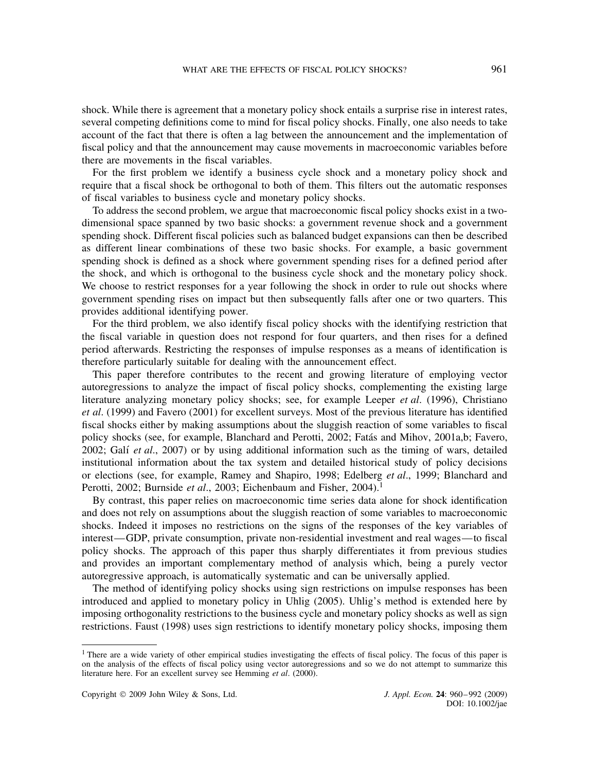shock. While there is agreement that a monetary policy shock entails a surprise rise in interest rates, several competing definitions come to mind for fiscal policy shocks. Finally, one also needs to take account of the fact that there is often a lag between the announcement and the implementation of fiscal policy and that the announcement may cause movements in macroeconomic variables before there are movements in the fiscal variables.

For the first problem we identify a business cycle shock and a monetary policy shock and require that a fiscal shock be orthogonal to both of them. This filters out the automatic responses of fiscal variables to business cycle and monetary policy shocks.

To address the second problem, we argue that macroeconomic fiscal policy shocks exist in a twodimensional space spanned by two basic shocks: a government revenue shock and a government spending shock. Different fiscal policies such as balanced budget expansions can then be described as different linear combinations of these two basic shocks. For example, a basic government spending shock is defined as a shock where government spending rises for a defined period after the shock, and which is orthogonal to the business cycle shock and the monetary policy shock. We choose to restrict responses for a year following the shock in order to rule out shocks where government spending rises on impact but then subsequently falls after one or two quarters. This provides additional identifying power.

For the third problem, we also identify fiscal policy shocks with the identifying restriction that the fiscal variable in question does not respond for four quarters, and then rises for a defined period afterwards. Restricting the responses of impulse responses as a means of identification is therefore particularly suitable for dealing with the announcement effect.

This paper therefore contributes to the recent and growing literature of employing vector autoregressions to analyze the impact of fiscal policy shocks, complementing the existing large literature analyzing monetary policy shocks; see, for example Leeper *et al*. (1996), Christiano *et al*. (1999) and Favero (2001) for excellent surveys. Most of the previous literature has identified fiscal shocks either by making assumptions about the sluggish reaction of some variables to fiscal policy shocks (see, for example, Blanchard and Perotti, 2002; Fatas and Mihov, 2001a,b; Favero, ´ 2002; Gal´ı *et al*., 2007) or by using additional information such as the timing of wars, detailed institutional information about the tax system and detailed historical study of policy decisions or elections (see, for example, Ramey and Shapiro, 1998; Edelberg *et al*., 1999; Blanchard and Perotti, 2002; Burnside *et al.*, 2003; Eichenbaum and Fisher, 2004).<sup>1</sup>

By contrast, this paper relies on macroeconomic time series data alone for shock identification and does not rely on assumptions about the sluggish reaction of some variables to macroeconomic shocks. Indeed it imposes no restrictions on the signs of the responses of the key variables of interest—GDP, private consumption, private non-residential investment and real wages—to fiscal policy shocks. The approach of this paper thus sharply differentiates it from previous studies and provides an important complementary method of analysis which, being a purely vector autoregressive approach, is automatically systematic and can be universally applied.

The method of identifying policy shocks using sign restrictions on impulse responses has been introduced and applied to monetary policy in Uhlig (2005). Uhlig's method is extended here by imposing orthogonality restrictions to the business cycle and monetary policy shocks as well as sign restrictions. Faust (1998) uses sign restrictions to identify monetary policy shocks, imposing them

<sup>&</sup>lt;sup>1</sup> There are a wide variety of other empirical studies investigating the effects of fiscal policy. The focus of this paper is on the analysis of the effects of fiscal policy using vector autoregressions and so we do not attempt to summarize this literature here. For an excellent survey see Hemming *et al*. (2000).

Copyright 2009 John Wiley & Sons, Ltd. *J. Appl. Econ.* **24**: 960–992 (2009)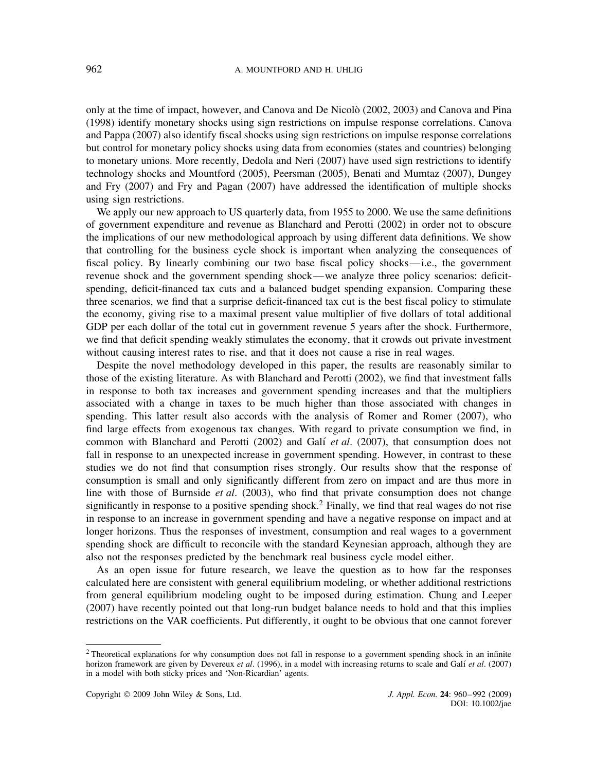only at the time of impact, however, and Canova and De Nicolo (2002, 2003) and Canova and Pina ` (1998) identify monetary shocks using sign restrictions on impulse response correlations. Canova and Pappa (2007) also identify fiscal shocks using sign restrictions on impulse response correlations but control for monetary policy shocks using data from economies (states and countries) belonging to monetary unions. More recently, Dedola and Neri (2007) have used sign restrictions to identify technology shocks and Mountford (2005), Peersman (2005), Benati and Mumtaz (2007), Dungey and Fry (2007) and Fry and Pagan (2007) have addressed the identification of multiple shocks using sign restrictions.

We apply our new approach to US quarterly data, from 1955 to 2000. We use the same definitions of government expenditure and revenue as Blanchard and Perotti (2002) in order not to obscure the implications of our new methodological approach by using different data definitions. We show that controlling for the business cycle shock is important when analyzing the consequences of fiscal policy. By linearly combining our two base fiscal policy shocks—i.e., the government revenue shock and the government spending shock—we analyze three policy scenarios: deficitspending, deficit-financed tax cuts and a balanced budget spending expansion. Comparing these three scenarios, we find that a surprise deficit-financed tax cut is the best fiscal policy to stimulate the economy, giving rise to a maximal present value multiplier of five dollars of total additional GDP per each dollar of the total cut in government revenue 5 years after the shock. Furthermore, we find that deficit spending weakly stimulates the economy, that it crowds out private investment without causing interest rates to rise, and that it does not cause a rise in real wages.

Despite the novel methodology developed in this paper, the results are reasonably similar to those of the existing literature. As with Blanchard and Perotti (2002), we find that investment falls in response to both tax increases and government spending increases and that the multipliers associated with a change in taxes to be much higher than those associated with changes in spending. This latter result also accords with the analysis of Romer and Romer (2007), who find large effects from exogenous tax changes. With regard to private consumption we find, in common with Blanchard and Perotti (2002) and Gal´ı *et al*. (2007), that consumption does not fall in response to an unexpected increase in government spending. However, in contrast to these studies we do not find that consumption rises strongly. Our results show that the response of consumption is small and only significantly different from zero on impact and are thus more in line with those of Burnside *et al*. (2003), who find that private consumption does not change significantly in response to a positive spending shock.<sup>2</sup> Finally, we find that real wages do not rise in response to an increase in government spending and have a negative response on impact and at longer horizons. Thus the responses of investment, consumption and real wages to a government spending shock are difficult to reconcile with the standard Keynesian approach, although they are also not the responses predicted by the benchmark real business cycle model either.

As an open issue for future research, we leave the question as to how far the responses calculated here are consistent with general equilibrium modeling, or whether additional restrictions from general equilibrium modeling ought to be imposed during estimation. Chung and Leeper (2007) have recently pointed out that long-run budget balance needs to hold and that this implies restrictions on the VAR coefficients. Put differently, it ought to be obvious that one cannot forever

<sup>2</sup> Theoretical explanations for why consumption does not fall in response to a government spending shock in an infinite horizon framework are given by Devereux *et al.* (1996), in a model with increasing returns to scale and Galí *et al.* (2007) in a model with both sticky prices and 'Non-Ricardian' agents.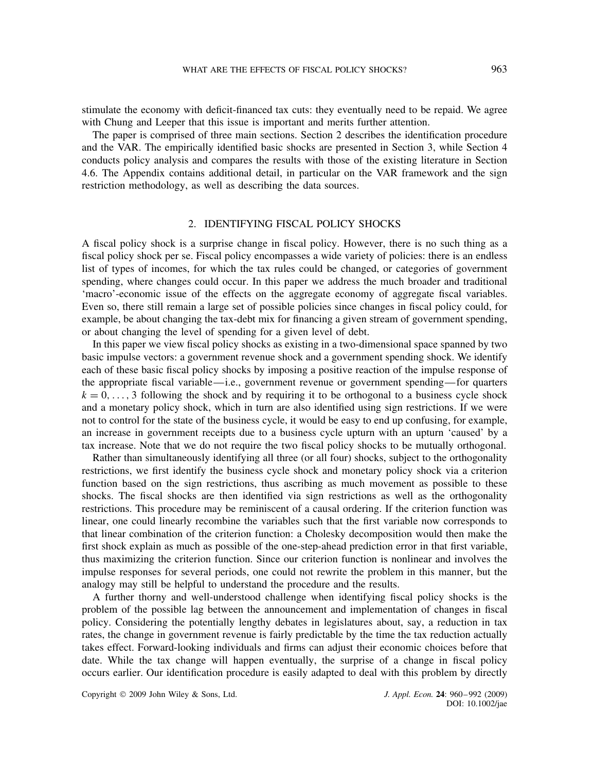stimulate the economy with deficit-financed tax cuts: they eventually need to be repaid. We agree with Chung and Leeper that this issue is important and merits further attention.

The paper is comprised of three main sections. Section 2 describes the identification procedure and the VAR. The empirically identified basic shocks are presented in Section 3, while Section 4 conducts policy analysis and compares the results with those of the existing literature in Section 4.6. The Appendix contains additional detail, in particular on the VAR framework and the sign restriction methodology, as well as describing the data sources.

#### 2. IDENTIFYING FISCAL POLICY SHOCKS

A fiscal policy shock is a surprise change in fiscal policy. However, there is no such thing as a fiscal policy shock per se. Fiscal policy encompasses a wide variety of policies: there is an endless list of types of incomes, for which the tax rules could be changed, or categories of government spending, where changes could occur. In this paper we address the much broader and traditional 'macro'-economic issue of the effects on the aggregate economy of aggregate fiscal variables. Even so, there still remain a large set of possible policies since changes in fiscal policy could, for example, be about changing the tax-debt mix for financing a given stream of government spending, or about changing the level of spending for a given level of debt.

In this paper we view fiscal policy shocks as existing in a two-dimensional space spanned by two basic impulse vectors: a government revenue shock and a government spending shock. We identify each of these basic fiscal policy shocks by imposing a positive reaction of the impulse response of the appropriate fiscal variable—i.e., government revenue or government spending—for quarters  $k = 0, \ldots, 3$  following the shock and by requiring it to be orthogonal to a business cycle shock and a monetary policy shock, which in turn are also identified using sign restrictions. If we were not to control for the state of the business cycle, it would be easy to end up confusing, for example, an increase in government receipts due to a business cycle upturn with an upturn 'caused' by a tax increase. Note that we do not require the two fiscal policy shocks to be mutually orthogonal.

Rather than simultaneously identifying all three (or all four) shocks, subject to the orthogonality restrictions, we first identify the business cycle shock and monetary policy shock via a criterion function based on the sign restrictions, thus ascribing as much movement as possible to these shocks. The fiscal shocks are then identified via sign restrictions as well as the orthogonality restrictions. This procedure may be reminiscent of a causal ordering. If the criterion function was linear, one could linearly recombine the variables such that the first variable now corresponds to that linear combination of the criterion function: a Cholesky decomposition would then make the first shock explain as much as possible of the one-step-ahead prediction error in that first variable, thus maximizing the criterion function. Since our criterion function is nonlinear and involves the impulse responses for several periods, one could not rewrite the problem in this manner, but the analogy may still be helpful to understand the procedure and the results.

A further thorny and well-understood challenge when identifying fiscal policy shocks is the problem of the possible lag between the announcement and implementation of changes in fiscal policy. Considering the potentially lengthy debates in legislatures about, say, a reduction in tax rates, the change in government revenue is fairly predictable by the time the tax reduction actually takes effect. Forward-looking individuals and firms can adjust their economic choices before that date. While the tax change will happen eventually, the surprise of a change in fiscal policy occurs earlier. Our identification procedure is easily adapted to deal with this problem by directly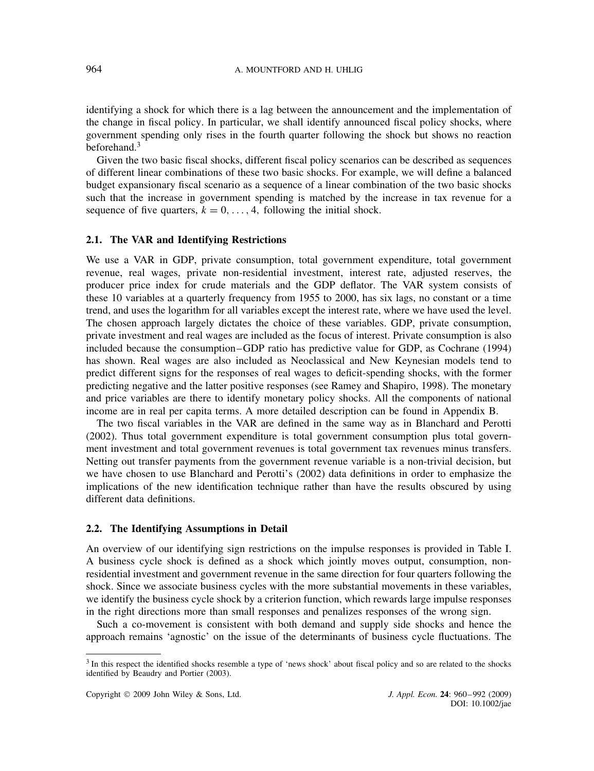identifying a shock for which there is a lag between the announcement and the implementation of the change in fiscal policy. In particular, we shall identify announced fiscal policy shocks, where government spending only rises in the fourth quarter following the shock but shows no reaction beforehand  $3$ 

Given the two basic fiscal shocks, different fiscal policy scenarios can be described as sequences of different linear combinations of these two basic shocks. For example, we will define a balanced budget expansionary fiscal scenario as a sequence of a linear combination of the two basic shocks such that the increase in government spending is matched by the increase in tax revenue for a sequence of five quarters,  $k = 0, \ldots, 4$ , following the initial shock.

### **2.1. The VAR and Identifying Restrictions**

We use a VAR in GDP, private consumption, total government expenditure, total government revenue, real wages, private non-residential investment, interest rate, adjusted reserves, the producer price index for crude materials and the GDP deflator. The VAR system consists of these 10 variables at a quarterly frequency from 1955 to 2000, has six lags, no constant or a time trend, and uses the logarithm for all variables except the interest rate, where we have used the level. The chosen approach largely dictates the choice of these variables. GDP, private consumption, private investment and real wages are included as the focus of interest. Private consumption is also included because the consumption–GDP ratio has predictive value for GDP, as Cochrane (1994) has shown. Real wages are also included as Neoclassical and New Keynesian models tend to predict different signs for the responses of real wages to deficit-spending shocks, with the former predicting negative and the latter positive responses (see Ramey and Shapiro, 1998). The monetary and price variables are there to identify monetary policy shocks. All the components of national income are in real per capita terms. A more detailed description can be found in Appendix B.

The two fiscal variables in the VAR are defined in the same way as in Blanchard and Perotti (2002). Thus total government expenditure is total government consumption plus total government investment and total government revenues is total government tax revenues minus transfers. Netting out transfer payments from the government revenue variable is a non-trivial decision, but we have chosen to use Blanchard and Perotti's (2002) data definitions in order to emphasize the implications of the new identification technique rather than have the results obscured by using different data definitions.

#### **2.2. The Identifying Assumptions in Detail**

An overview of our identifying sign restrictions on the impulse responses is provided in Table I. A business cycle shock is defined as a shock which jointly moves output, consumption, nonresidential investment and government revenue in the same direction for four quarters following the shock. Since we associate business cycles with the more substantial movements in these variables, we identify the business cycle shock by a criterion function, which rewards large impulse responses in the right directions more than small responses and penalizes responses of the wrong sign.

Such a co-movement is consistent with both demand and supply side shocks and hence the approach remains 'agnostic' on the issue of the determinants of business cycle fluctuations. The

<sup>&</sup>lt;sup>3</sup> In this respect the identified shocks resemble a type of 'news shock' about fiscal policy and so are related to the shocks identified by Beaudry and Portier (2003).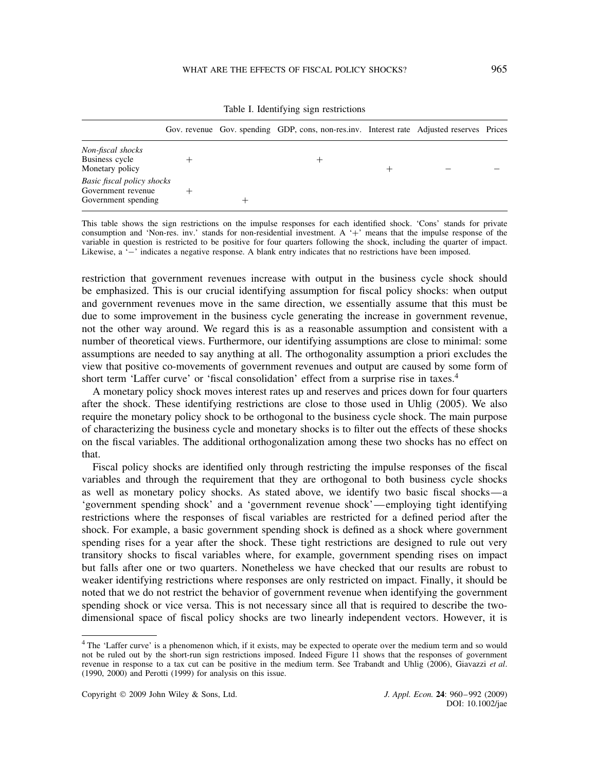|                                                                                |  | Gov. revenue Gov. spending GDP, cons. non-res.inv. Interest rate Adjusted reserves Prices |  |  |
|--------------------------------------------------------------------------------|--|-------------------------------------------------------------------------------------------|--|--|
| Non-fiscal shocks<br>Business cycle<br>Monetary policy                         |  |                                                                                           |  |  |
| <b>Basic fiscal policy shocks</b><br>Government revenue<br>Government spending |  |                                                                                           |  |  |

Table I. Identifying sign restrictions

This table shows the sign restrictions on the impulse responses for each identified shock. 'Cons' stands for private consumption and 'Non-res. inv.' stands for non-residential investment. A  $'$  +' means that the impulse response of the variable in question is restricted to be positive for four quarters following the shock, including the quarter of impact. Likewise, a '-' indicates a negative response. A blank entry indicates that no restrictions have been imposed.

restriction that government revenues increase with output in the business cycle shock should be emphasized. This is our crucial identifying assumption for fiscal policy shocks: when output and government revenues move in the same direction, we essentially assume that this must be due to some improvement in the business cycle generating the increase in government revenue, not the other way around. We regard this is as a reasonable assumption and consistent with a number of theoretical views. Furthermore, our identifying assumptions are close to minimal: some assumptions are needed to say anything at all. The orthogonality assumption a priori excludes the view that positive co-movements of government revenues and output are caused by some form of short term 'Laffer curve' or 'fiscal consolidation' effect from a surprise rise in taxes.4

A monetary policy shock moves interest rates up and reserves and prices down for four quarters after the shock. These identifying restrictions are close to those used in Uhlig (2005). We also require the monetary policy shock to be orthogonal to the business cycle shock. The main purpose of characterizing the business cycle and monetary shocks is to filter out the effects of these shocks on the fiscal variables. The additional orthogonalization among these two shocks has no effect on that.

Fiscal policy shocks are identified only through restricting the impulse responses of the fiscal variables and through the requirement that they are orthogonal to both business cycle shocks as well as monetary policy shocks. As stated above, we identify two basic fiscal shocks—a 'government spending shock' and a 'government revenue shock'—employing tight identifying restrictions where the responses of fiscal variables are restricted for a defined period after the shock. For example, a basic government spending shock is defined as a shock where government spending rises for a year after the shock. These tight restrictions are designed to rule out very transitory shocks to fiscal variables where, for example, government spending rises on impact but falls after one or two quarters. Nonetheless we have checked that our results are robust to weaker identifying restrictions where responses are only restricted on impact. Finally, it should be noted that we do not restrict the behavior of government revenue when identifying the government spending shock or vice versa. This is not necessary since all that is required to describe the twodimensional space of fiscal policy shocks are two linearly independent vectors. However, it is

<sup>4</sup> The 'Laffer curve' is a phenomenon which, if it exists, may be expected to operate over the medium term and so would not be ruled out by the short-run sign restrictions imposed. Indeed Figure 11 shows that the responses of government revenue in response to a tax cut can be positive in the medium term. See Trabandt and Uhlig (2006), Giavazzi *et al*. (1990, 2000) and Perotti (1999) for analysis on this issue.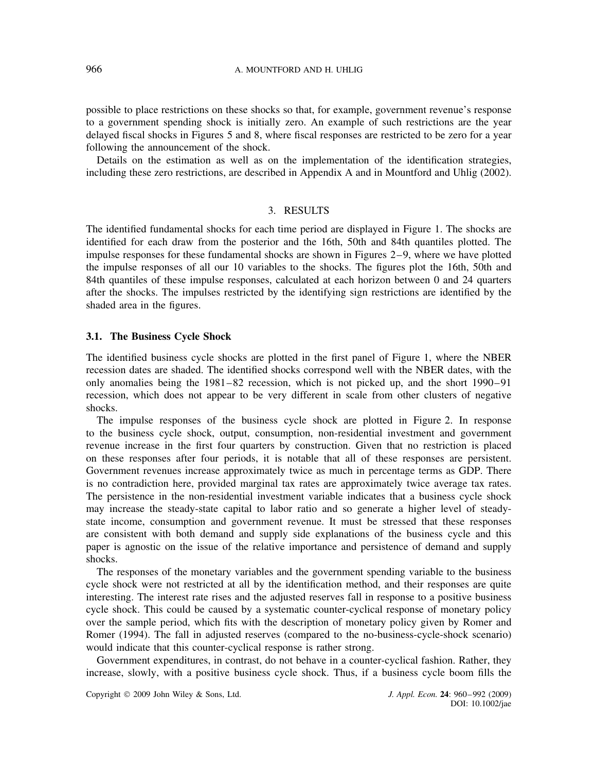possible to place restrictions on these shocks so that, for example, government revenue's response to a government spending shock is initially zero. An example of such restrictions are the year delayed fiscal shocks in Figures 5 and 8, where fiscal responses are restricted to be zero for a year following the announcement of the shock.

Details on the estimation as well as on the implementation of the identification strategies, including these zero restrictions, are described in Appendix A and in Mountford and Uhlig (2002).

#### 3. RESULTS

The identified fundamental shocks for each time period are displayed in Figure 1. The shocks are identified for each draw from the posterior and the 16th, 50th and 84th quantiles plotted. The impulse responses for these fundamental shocks are shown in Figures 2–9, where we have plotted the impulse responses of all our 10 variables to the shocks. The figures plot the 16th, 50th and 84th quantiles of these impulse responses, calculated at each horizon between 0 and 24 quarters after the shocks. The impulses restricted by the identifying sign restrictions are identified by the shaded area in the figures.

### **3.1. The Business Cycle Shock**

The identified business cycle shocks are plotted in the first panel of Figure 1, where the NBER recession dates are shaded. The identified shocks correspond well with the NBER dates, with the only anomalies being the 1981–82 recession, which is not picked up, and the short 1990–91 recession, which does not appear to be very different in scale from other clusters of negative shocks.

The impulse responses of the business cycle shock are plotted in Figure 2. In response to the business cycle shock, output, consumption, non-residential investment and government revenue increase in the first four quarters by construction. Given that no restriction is placed on these responses after four periods, it is notable that all of these responses are persistent. Government revenues increase approximately twice as much in percentage terms as GDP. There is no contradiction here, provided marginal tax rates are approximately twice average tax rates. The persistence in the non-residential investment variable indicates that a business cycle shock may increase the steady-state capital to labor ratio and so generate a higher level of steadystate income, consumption and government revenue. It must be stressed that these responses are consistent with both demand and supply side explanations of the business cycle and this paper is agnostic on the issue of the relative importance and persistence of demand and supply shocks.

The responses of the monetary variables and the government spending variable to the business cycle shock were not restricted at all by the identification method, and their responses are quite interesting. The interest rate rises and the adjusted reserves fall in response to a positive business cycle shock. This could be caused by a systematic counter-cyclical response of monetary policy over the sample period, which fits with the description of monetary policy given by Romer and Romer (1994). The fall in adjusted reserves (compared to the no-business-cycle-shock scenario) would indicate that this counter-cyclical response is rather strong.

Government expenditures, in contrast, do not behave in a counter-cyclical fashion. Rather, they increase, slowly, with a positive business cycle shock. Thus, if a business cycle boom fills the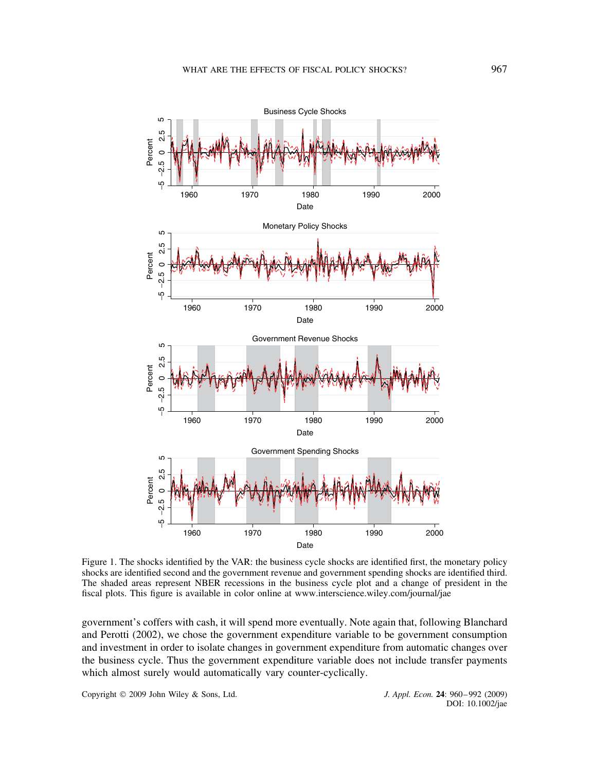

Figure 1. The shocks identified by the VAR: the business cycle shocks are identified first, the monetary policy shocks are identified second and the government revenue and government spending shocks are identified third. The shaded areas represent NBER recessions in the business cycle plot and a change of president in the fiscal plots. This figure is available in color online at www.interscience.wiley.com/journal/jae

government's coffers with cash, it will spend more eventually. Note again that, following Blanchard and Perotti (2002), we chose the government expenditure variable to be government consumption and investment in order to isolate changes in government expenditure from automatic changes over the business cycle. Thus the government expenditure variable does not include transfer payments which almost surely would automatically vary counter-cyclically.

Copyright 2009 John Wiley & Sons, Ltd. *J. Appl. Econ.* **24**: 960–992 (2009)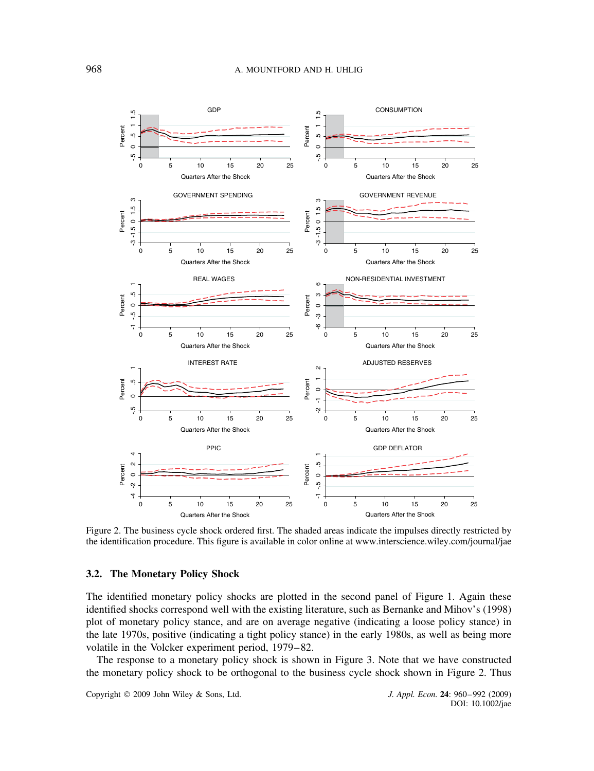

Figure 2. The business cycle shock ordered first. The shaded areas indicate the impulses directly restricted by the identification procedure. This figure is available in color online at www.interscience.wiley.com/journal/jae

### **3.2. The Monetary Policy Shock**

The identified monetary policy shocks are plotted in the second panel of Figure 1. Again these identified shocks correspond well with the existing literature, such as Bernanke and Mihov's (1998) plot of monetary policy stance, and are on average negative (indicating a loose policy stance) in the late 1970s, positive (indicating a tight policy stance) in the early 1980s, as well as being more volatile in the Volcker experiment period, 1979–82.

The response to a monetary policy shock is shown in Figure 3. Note that we have constructed the monetary policy shock to be orthogonal to the business cycle shock shown in Figure 2. Thus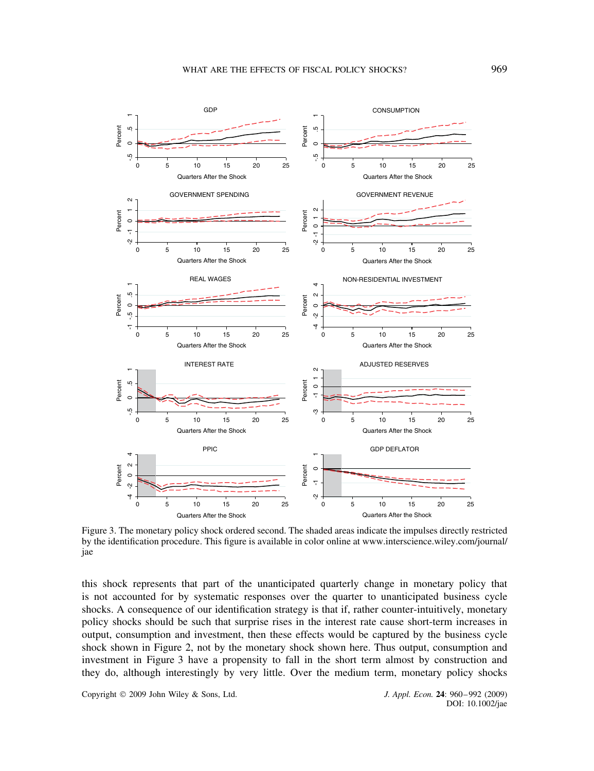

Figure 3. The monetary policy shock ordered second. The shaded areas indicate the impulses directly restricted by the identification procedure. This figure is available in color online at www.interscience.wiley.com/journal/ jae

this shock represents that part of the unanticipated quarterly change in monetary policy that is not accounted for by systematic responses over the quarter to unanticipated business cycle shocks. A consequence of our identification strategy is that if, rather counter-intuitively, monetary policy shocks should be such that surprise rises in the interest rate cause short-term increases in output, consumption and investment, then these effects would be captured by the business cycle shock shown in Figure 2, not by the monetary shock shown here. Thus output, consumption and investment in Figure 3 have a propensity to fall in the short term almost by construction and they do, although interestingly by very little. Over the medium term, monetary policy shocks

Copyright 2009 John Wiley & Sons, Ltd. *J. Appl. Econ.* **24**: 960–992 (2009)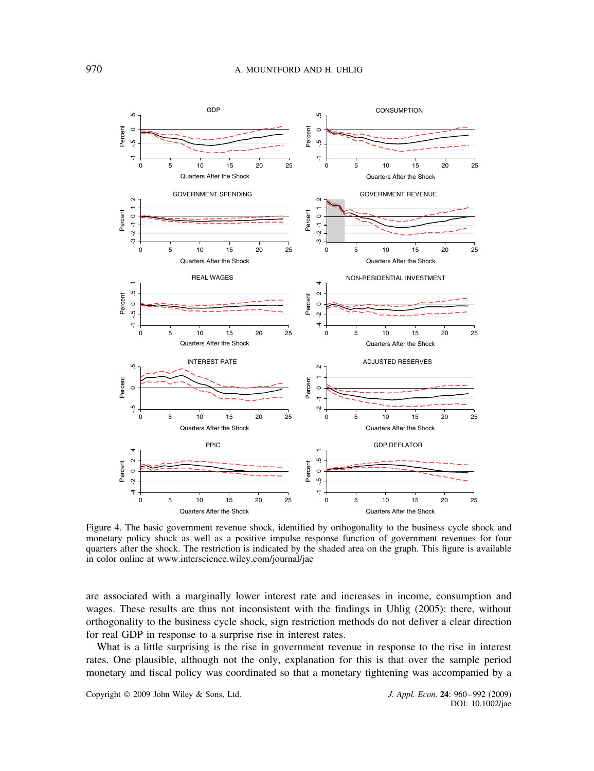

Figure 4. The basic government revenue shock, identified by orthogonality to the business cycle shock and monetary policy shock as well as a positive impulse response function of government revenues for four quarters after the shock. The restriction is indicated by the shaded area on the graph. This figure is available in color online at www.interscience.wiley.com/journal/jae

are associated with a marginally lower interest rate and increases in income, consumption and wages. These results are thus not inconsistent with the findings in Uhlig (2005): there, without orthogonality to the business cycle shock, sign restriction methods do not deliver a clear direction for real GDP in response to a surprise rise in interest rates.

What is a little surprising is the rise in government revenue in response to the rise in interest rates. One plausible, although not the only, explanation for this is that over the sample period monetary and fiscal policy was coordinated so that a monetary tightening was accompanied by a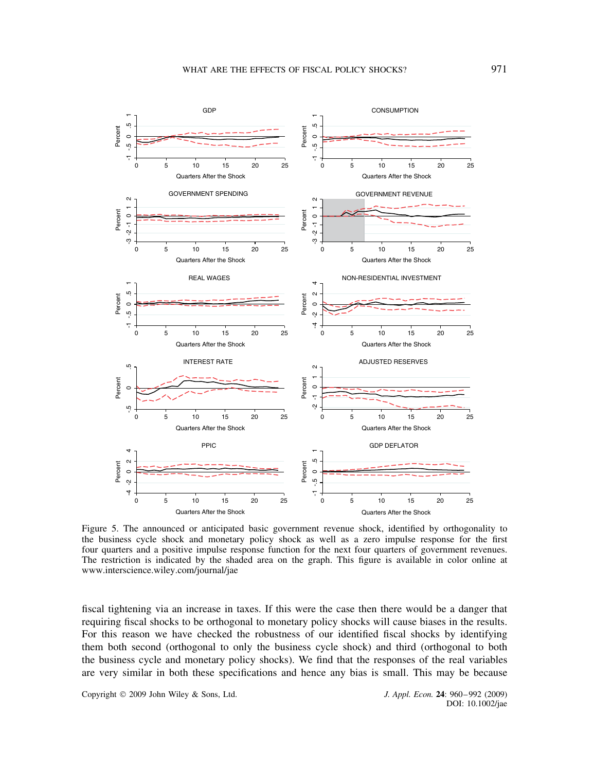

Figure 5. The announced or anticipated basic government revenue shock, identified by orthogonality to the business cycle shock and monetary policy shock as well as a zero impulse response for the first four quarters and a positive impulse response function for the next four quarters of government revenues. The restriction is indicated by the shaded area on the graph. This figure is available in color online at www.interscience.wiley.com/journal/jae

fiscal tightening via an increase in taxes. If this were the case then there would be a danger that requiring fiscal shocks to be orthogonal to monetary policy shocks will cause biases in the results. For this reason we have checked the robustness of our identified fiscal shocks by identifying them both second (orthogonal to only the business cycle shock) and third (orthogonal to both the business cycle and monetary policy shocks). We find that the responses of the real variables are very similar in both these specifications and hence any bias is small. This may be because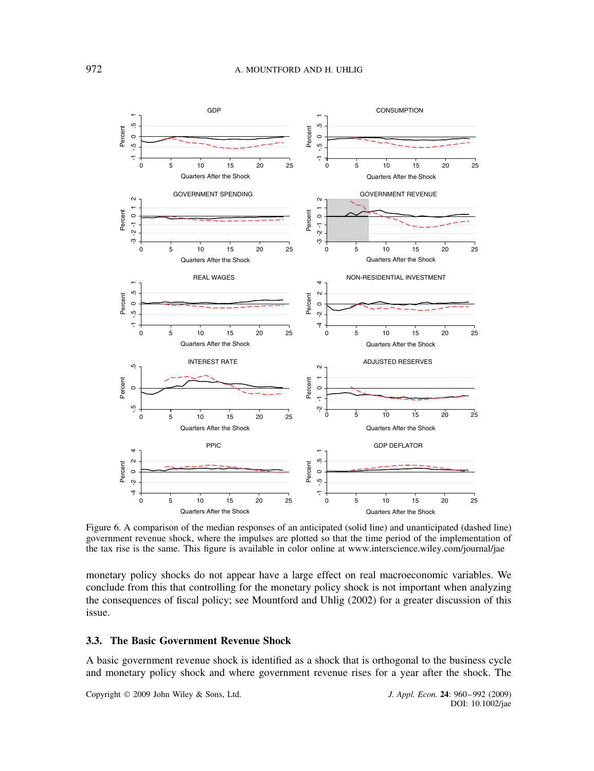

Figure 6. A comparison of the median responses of an anticipated (solid line) and unanticipated (dashed line) government revenue shock, where the impulses are plotted so that the time period of the implementation of the tax rise is the same. This figure is available in color online at www.interscience.wiley.com/journal/jae

monetary policy shocks do not appear have a large effect on real macroeconomic variables. We conclude from this that controlling for the monetary policy shock is not important when analyzing the consequences of fiscal policy; see Mountford and Uhlig (2002) for a greater discussion of this issue.

## **3.3. The Basic Government Revenue Shock**

A basic government revenue shock is identified as a shock that is orthogonal to the business cycle and monetary policy shock and where government revenue rises for a year after the shock. The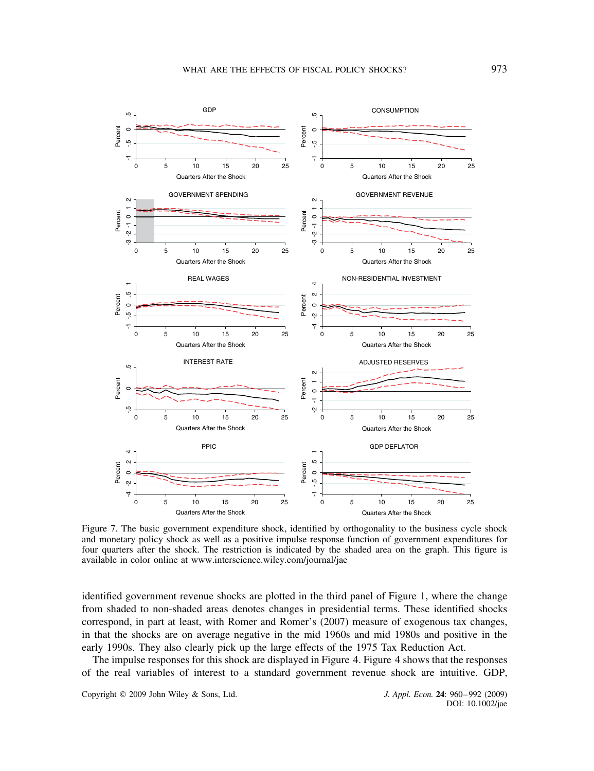

Figure 7. The basic government expenditure shock, identified by orthogonality to the business cycle shock and monetary policy shock as well as a positive impulse response function of government expenditures for four quarters after the shock. The restriction is indicated by the shaded area on the graph. This figure is available in color online at www.interscience.wiley.com/journal/jae

identified government revenue shocks are plotted in the third panel of Figure 1, where the change from shaded to non-shaded areas denotes changes in presidential terms. These identified shocks correspond, in part at least, with Romer and Romer's (2007) measure of exogenous tax changes, in that the shocks are on average negative in the mid 1960s and mid 1980s and positive in the early 1990s. They also clearly pick up the large effects of the 1975 Tax Reduction Act.

The impulse responses for this shock are displayed in Figure 4. Figure 4 shows that the responses of the real variables of interest to a standard government revenue shock are intuitive. GDP,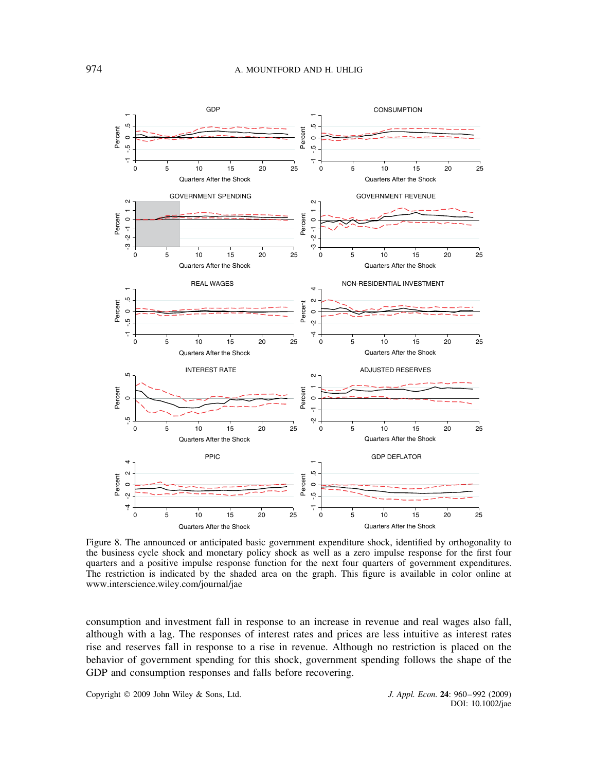

Figure 8. The announced or anticipated basic government expenditure shock, identified by orthogonality to the business cycle shock and monetary policy shock as well as a zero impulse response for the first four quarters and a positive impulse response function for the next four quarters of government expenditures. The restriction is indicated by the shaded area on the graph. This figure is available in color online at www.interscience.wiley.com/journal/jae

consumption and investment fall in response to an increase in revenue and real wages also fall, although with a lag. The responses of interest rates and prices are less intuitive as interest rates rise and reserves fall in response to a rise in revenue. Although no restriction is placed on the behavior of government spending for this shock, government spending follows the shape of the GDP and consumption responses and falls before recovering.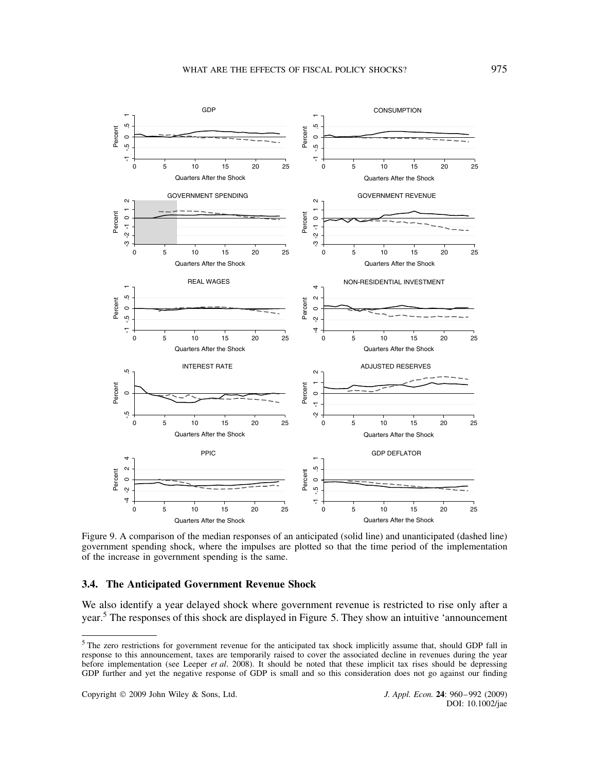

Figure 9. A comparison of the median responses of an anticipated (solid line) and unanticipated (dashed line) government spending shock, where the impulses are plotted so that the time period of the implementation of the increase in government spending is the same.

## **3.4. The Anticipated Government Revenue Shock**

We also identify a year delayed shock where government revenue is restricted to rise only after a year.<sup>5</sup> The responses of this shock are displayed in Figure 5. They show an intuitive 'announcement

<sup>&</sup>lt;sup>5</sup> The zero restrictions for government revenue for the anticipated tax shock implicitly assume that, should GDP fall in response to this announcement, taxes are temporarily raised to cover the associated decline in revenues during the year before implementation (see Leeper *et al*. 2008). It should be noted that these implicit tax rises should be depressing GDP further and yet the negative response of GDP is small and so this consideration does not go against our finding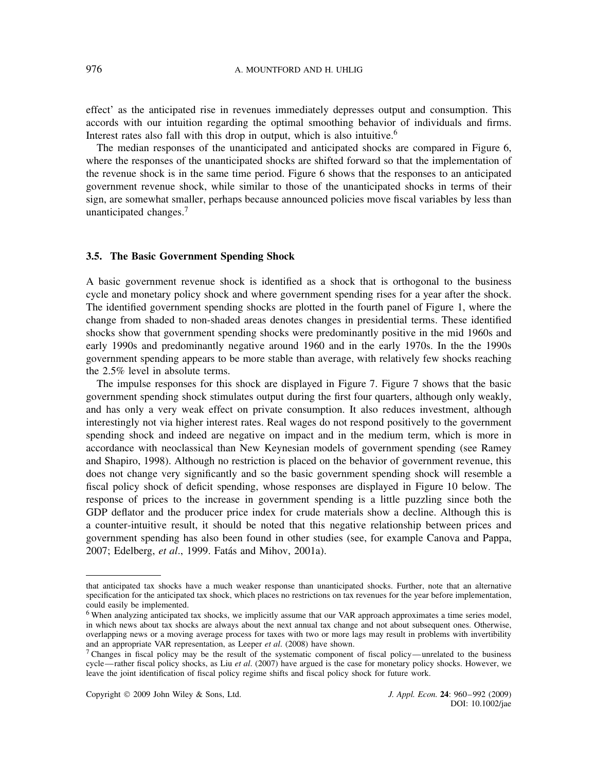effect' as the anticipated rise in revenues immediately depresses output and consumption. This accords with our intuition regarding the optimal smoothing behavior of individuals and firms. Interest rates also fall with this drop in output, which is also intuitive.<sup>6</sup>

The median responses of the unanticipated and anticipated shocks are compared in Figure 6, where the responses of the unanticipated shocks are shifted forward so that the implementation of the revenue shock is in the same time period. Figure 6 shows that the responses to an anticipated government revenue shock, while similar to those of the unanticipated shocks in terms of their sign, are somewhat smaller, perhaps because announced policies move fiscal variables by less than unanticipated changes.<sup>7</sup>

### **3.5. The Basic Government Spending Shock**

A basic government revenue shock is identified as a shock that is orthogonal to the business cycle and monetary policy shock and where government spending rises for a year after the shock. The identified government spending shocks are plotted in the fourth panel of Figure 1, where the change from shaded to non-shaded areas denotes changes in presidential terms. These identified shocks show that government spending shocks were predominantly positive in the mid 1960s and early 1990s and predominantly negative around 1960 and in the early 1970s. In the the 1990s government spending appears to be more stable than average, with relatively few shocks reaching the 2.5% level in absolute terms.

The impulse responses for this shock are displayed in Figure 7. Figure 7 shows that the basic government spending shock stimulates output during the first four quarters, although only weakly, and has only a very weak effect on private consumption. It also reduces investment, although interestingly not via higher interest rates. Real wages do not respond positively to the government spending shock and indeed are negative on impact and in the medium term, which is more in accordance with neoclassical than New Keynesian models of government spending (see Ramey and Shapiro, 1998). Although no restriction is placed on the behavior of government revenue, this does not change very significantly and so the basic government spending shock will resemble a fiscal policy shock of deficit spending, whose responses are displayed in Figure 10 below. The response of prices to the increase in government spending is a little puzzling since both the GDP deflator and the producer price index for crude materials show a decline. Although this is a counter-intuitive result, it should be noted that this negative relationship between prices and government spending has also been found in other studies (see, for example Canova and Pappa, 2007; Edelberg, *et al*., 1999. Fatas and Mihov, 2001a). ´

that anticipated tax shocks have a much weaker response than unanticipated shocks. Further, note that an alternative specification for the anticipated tax shock, which places no restrictions on tax revenues for the year before implementation, could easily be implemented.

<sup>6</sup> When analyzing anticipated tax shocks, we implicitly assume that our VAR approach approximates a time series model, in which news about tax shocks are always about the next annual tax change and not about subsequent ones. Otherwise, overlapping news or a moving average process for taxes with two or more lags may result in problems with invertibility and an appropriate VAR representation, as Leeper *et al*. (2008) have shown.

 $7$  Changes in fiscal policy may be the result of the systematic component of fiscal policy—unrelated to the business cycle—rather fiscal policy shocks, as Liu *et al*. (2007) have argued is the case for monetary policy shocks. However, we leave the joint identification of fiscal policy regime shifts and fiscal policy shock for future work.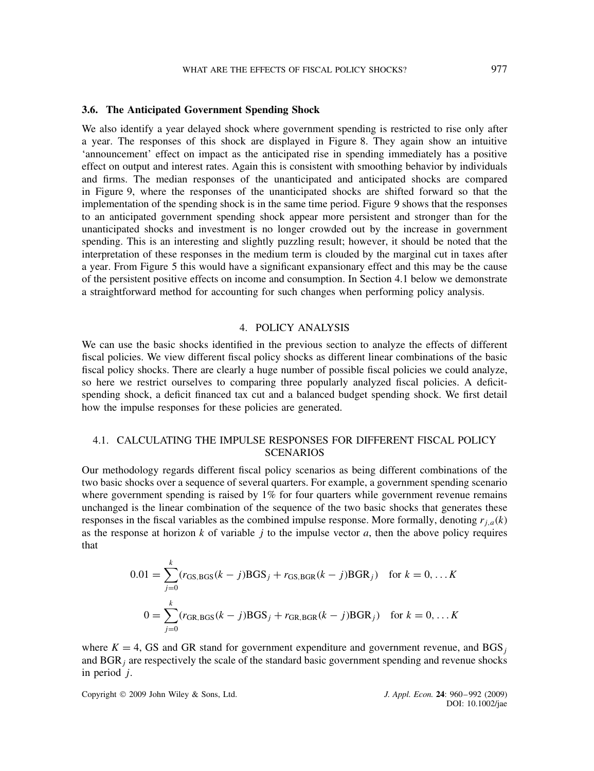### **3.6. The Anticipated Government Spending Shock**

We also identify a year delayed shock where government spending is restricted to rise only after a year. The responses of this shock are displayed in Figure 8. They again show an intuitive 'announcement' effect on impact as the anticipated rise in spending immediately has a positive effect on output and interest rates. Again this is consistent with smoothing behavior by individuals and firms. The median responses of the unanticipated and anticipated shocks are compared in Figure 9, where the responses of the unanticipated shocks are shifted forward so that the implementation of the spending shock is in the same time period. Figure 9 shows that the responses to an anticipated government spending shock appear more persistent and stronger than for the unanticipated shocks and investment is no longer crowded out by the increase in government spending. This is an interesting and slightly puzzling result; however, it should be noted that the interpretation of these responses in the medium term is clouded by the marginal cut in taxes after a year. From Figure 5 this would have a significant expansionary effect and this may be the cause of the persistent positive effects on income and consumption. In Section 4.1 below we demonstrate a straightforward method for accounting for such changes when performing policy analysis.

## 4. POLICY ANALYSIS

We can use the basic shocks identified in the previous section to analyze the effects of different fiscal policies. We view different fiscal policy shocks as different linear combinations of the basic fiscal policy shocks. There are clearly a huge number of possible fiscal policies we could analyze, so here we restrict ourselves to comparing three popularly analyzed fiscal policies. A deficitspending shock, a deficit financed tax cut and a balanced budget spending shock. We first detail how the impulse responses for these policies are generated.

### 4.1. CALCULATING THE IMPULSE RESPONSES FOR DIFFERENT FISCAL POLICY SCENARIOS

Our methodology regards different fiscal policy scenarios as being different combinations of the two basic shocks over a sequence of several quarters. For example, a government spending scenario where government spending is raised by 1% for four quarters while government revenue remains unchanged is the linear combination of the sequence of the two basic shocks that generates these responses in the fiscal variables as the combined impulse response. More formally, denoting  $r_{j,a}(k)$ as the response at horizon  $k$  of variable  $j$  to the impulse vector  $a$ , then the above policy requires that

$$
0.01 = \sum_{j=0}^{k} (r_{\text{GS,BGS}}(k-j) \text{BGS}_j + r_{\text{GS,BGR}}(k-j) \text{BGR}_j) \quad \text{for } k = 0, \dots K
$$

$$
0 = \sum_{j=0}^{k} (r_{\text{GR,BGS}}(k-j) \text{BGS}_j + r_{\text{GR,BGR}}(k-j) \text{BGR}_j) \quad \text{for } k = 0, \dots K
$$

where  $K = 4$ , GS and GR stand for government expenditure and government revenue, and BGS<sub>i</sub> and BGR $_i$  are respectively the scale of the standard basic government spending and revenue shocks in period j.

Copyright 2009 John Wiley & Sons, Ltd. *J. Appl. Econ.* **24**: 960–992 (2009)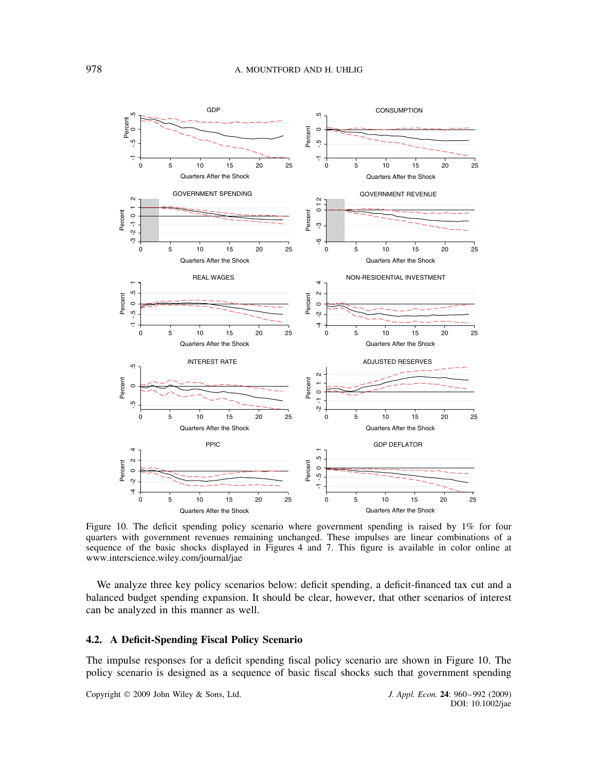

Figure 10. The deficit spending policy scenario where government spending is raised by 1% for four quarters with government revenues remaining unchanged. These impulses are linear combinations of a sequence of the basic shocks displayed in Figures 4 and 7. This figure is available in color online at www.interscience.wiley.com/journal/jae

We analyze three key policy scenarios below: deficit spending, a deficit-financed tax cut and a balanced budget spending expansion. It should be clear, however, that other scenarios of interest can be analyzed in this manner as well.

### **4.2. A Deficit-Spending Fiscal Policy Scenario**

The impulse responses for a deficit spending fiscal policy scenario are shown in Figure 10. The policy scenario is designed as a sequence of basic fiscal shocks such that government spending

Copyright 2009 John Wiley & Sons, Ltd. *J. Appl. Econ.* **24**: 960–992 (2009)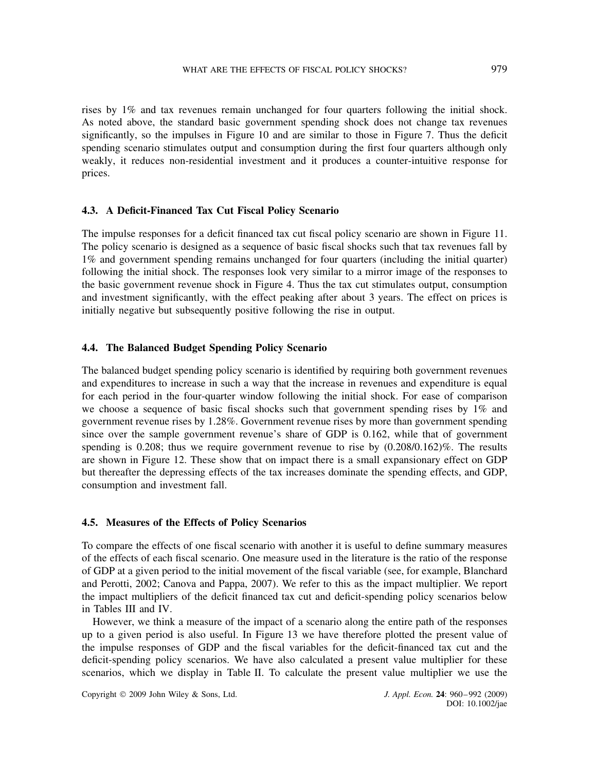rises by 1% and tax revenues remain unchanged for four quarters following the initial shock. As noted above, the standard basic government spending shock does not change tax revenues significantly, so the impulses in Figure 10 and are similar to those in Figure 7. Thus the deficit spending scenario stimulates output and consumption during the first four quarters although only weakly, it reduces non-residential investment and it produces a counter-intuitive response for prices.

### **4.3. A Deficit-Financed Tax Cut Fiscal Policy Scenario**

The impulse responses for a deficit financed tax cut fiscal policy scenario are shown in Figure 11. The policy scenario is designed as a sequence of basic fiscal shocks such that tax revenues fall by 1% and government spending remains unchanged for four quarters (including the initial quarter) following the initial shock. The responses look very similar to a mirror image of the responses to the basic government revenue shock in Figure 4. Thus the tax cut stimulates output, consumption and investment significantly, with the effect peaking after about 3 years. The effect on prices is initially negative but subsequently positive following the rise in output.

### **4.4. The Balanced Budget Spending Policy Scenario**

The balanced budget spending policy scenario is identified by requiring both government revenues and expenditures to increase in such a way that the increase in revenues and expenditure is equal for each period in the four-quarter window following the initial shock. For ease of comparison we choose a sequence of basic fiscal shocks such that government spending rises by 1% and government revenue rises by 1.28%. Government revenue rises by more than government spending since over the sample government revenue's share of GDP is 0.162, while that of government spending is 0.208; thus we require government revenue to rise by (0.208/0.162)%. The results are shown in Figure 12. These show that on impact there is a small expansionary effect on GDP but thereafter the depressing effects of the tax increases dominate the spending effects, and GDP, consumption and investment fall.

#### **4.5. Measures of the Effects of Policy Scenarios**

To compare the effects of one fiscal scenario with another it is useful to define summary measures of the effects of each fiscal scenario. One measure used in the literature is the ratio of the response of GDP at a given period to the initial movement of the fiscal variable (see, for example, Blanchard and Perotti, 2002; Canova and Pappa, 2007). We refer to this as the impact multiplier. We report the impact multipliers of the deficit financed tax cut and deficit-spending policy scenarios below in Tables III and IV.

However, we think a measure of the impact of a scenario along the entire path of the responses up to a given period is also useful. In Figure 13 we have therefore plotted the present value of the impulse responses of GDP and the fiscal variables for the deficit-financed tax cut and the deficit-spending policy scenarios. We have also calculated a present value multiplier for these scenarios, which we display in Table II. To calculate the present value multiplier we use the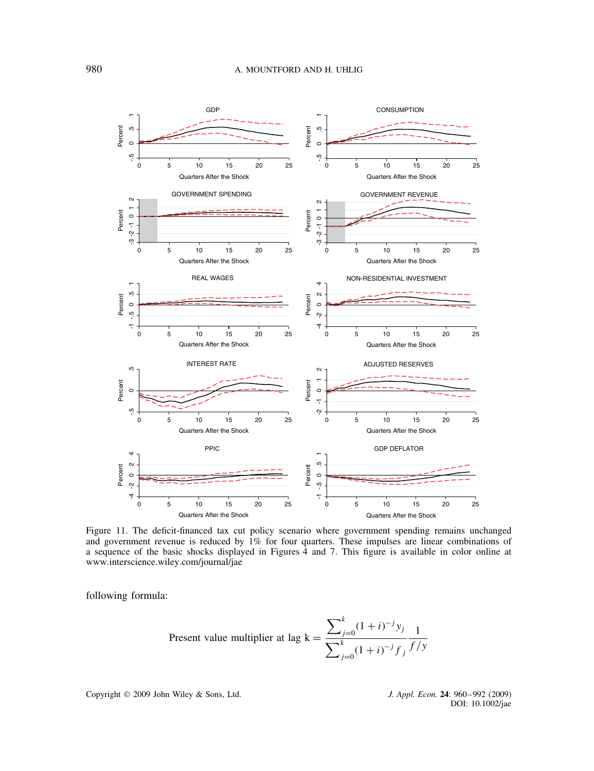

Figure 11. The deficit-financed tax cut policy scenario where government spending remains unchanged and government revenue is reduced by  $1\%$  for four quarters. These impulses are linear combinations of a sequence of the basic shocks displayed in Figures  $\frac{4}{3}$  and 7. This figure is available in color online at www.interscience.wiley.com/journal/jae

following formula:

Present value multiplier at lag 
$$
k = \frac{\sum_{j=0}^{k} (1+i)^{-j} y_j}{\sum_{j=0}^{k} (1+i)^{-j} f_j} \frac{1}{f/y}
$$

Copyright 2009 John Wiley & Sons, Ltd. *J. Appl. Econ.* **24**: 960–992 (2009)

DOI: 10.1002/jae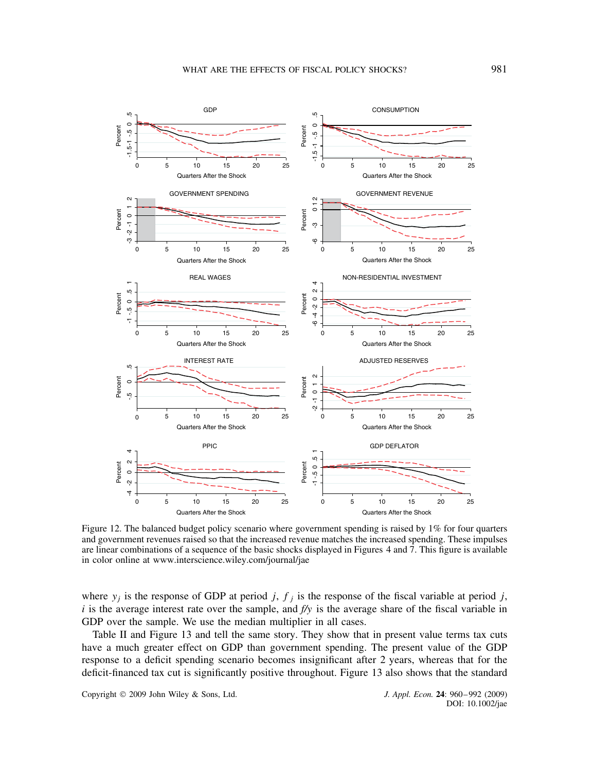

Figure 12. The balanced budget policy scenario where government spending is raised by 1% for four quarters and government revenues raised so that the increased revenue matches the increased spending. These impulses are linear combinations of a sequence of the basic shocks displayed in Figures 4 and 7. This figure is available in color online at www.interscience.wiley.com/journal/jae

where  $y_j$  is the response of GDP at period j,  $f_j$  is the response of the fiscal variable at period j, i is the average interest rate over the sample, and  $f/y$  is the average share of the fiscal variable in GDP over the sample. We use the median multiplier in all cases.

Table II and Figure 13 and tell the same story. They show that in present value terms tax cuts have a much greater effect on GDP than government spending. The present value of the GDP response to a deficit spending scenario becomes insignificant after 2 years, whereas that for the deficit-financed tax cut is significantly positive throughout. Figure 13 also shows that the standard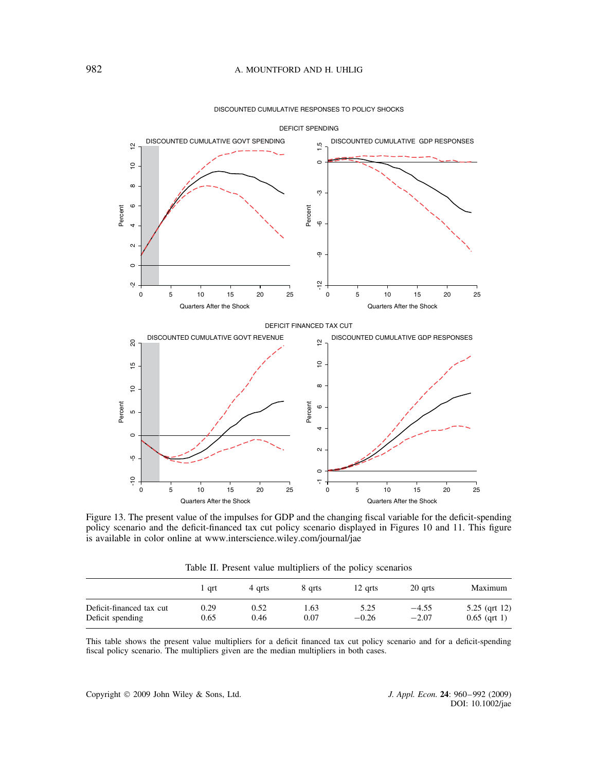

DISCOUNTED CUMULATIVE RESPONSES TO POLICY SHOCKS

DEFICIT SPENDING

Figure 13. The present value of the impulses for GDP and the changing fiscal variable for the deficit-spending policy scenario and the deficit-financed tax cut policy scenario displayed in Figures 10 and 11. This figure is available in color online at www.interscience.wiley.com/journal/jae

Table II. Present value multipliers of the policy scenarios

|                          | art  | 4 arts | 8 arts | 12 arts | 20 grts | Maximum          |
|--------------------------|------|--------|--------|---------|---------|------------------|
| Deficit-financed tax cut | 0.29 | 0.52   | .63    | 5.25    | $-4.55$ | 5.25 (qrt $12$ ) |
| Deficit spending         | 0.65 | 0.46   | 0.07   | $-0.26$ | $-2.07$ | $0.65$ (qrt 1)   |

This table shows the present value multipliers for a deficit financed tax cut policy scenario and for a deficit-spending fiscal policy scenario. The multipliers given are the median multipliers in both cases.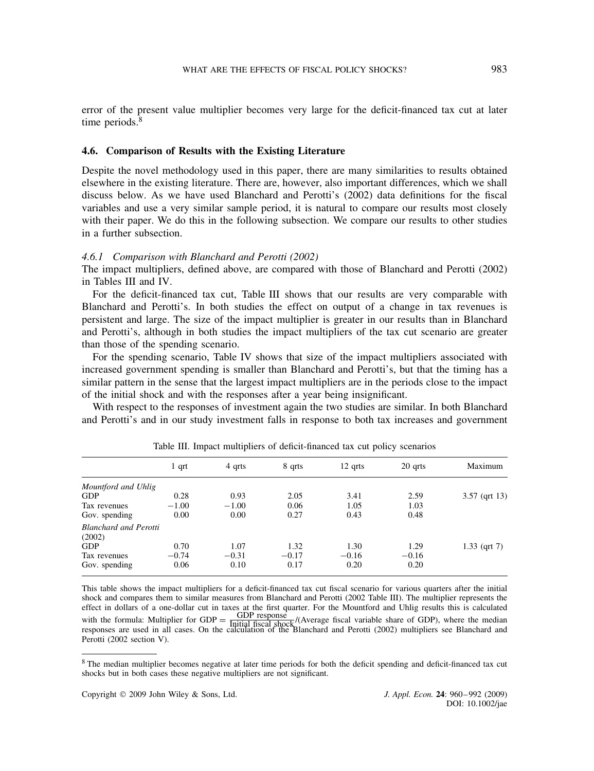error of the present value multiplier becomes very large for the deficit-financed tax cut at later time periods.<sup>8</sup>

#### **4.6. Comparison of Results with the Existing Literature**

Despite the novel methodology used in this paper, there are many similarities to results obtained elsewhere in the existing literature. There are, however, also important differences, which we shall discuss below. As we have used Blanchard and Perotti's (2002) data definitions for the fiscal variables and use a very similar sample period, it is natural to compare our results most closely with their paper. We do this in the following subsection. We compare our results to other studies in a further subsection.

#### *4.6.1 Comparison with Blanchard and Perotti (2002)*

The impact multipliers, defined above, are compared with those of Blanchard and Perotti (2002) in Tables III and IV.

For the deficit-financed tax cut, Table III shows that our results are very comparable with Blanchard and Perotti's. In both studies the effect on output of a change in tax revenues is persistent and large. The size of the impact multiplier is greater in our results than in Blanchard and Perotti's, although in both studies the impact multipliers of the tax cut scenario are greater than those of the spending scenario.

For the spending scenario, Table IV shows that size of the impact multipliers associated with increased government spending is smaller than Blanchard and Perotti's, but that the timing has a similar pattern in the sense that the largest impact multipliers are in the periods close to the impact of the initial shock and with the responses after a year being insignificant.

With respect to the responses of investment again the two studies are similar. In both Blanchard and Perotti's and in our study investment falls in response to both tax increases and government

|                                        | 1 qrt   | 4 grts  | 8 qrts  | 12 qrts | 20 qrts | Maximum         |
|----------------------------------------|---------|---------|---------|---------|---------|-----------------|
| Mountford and Uhlig                    |         |         |         |         |         |                 |
| <b>GDP</b>                             | 0.28    | 0.93    | 2.05    | 3.41    | 2.59    | $3.57$ (qrt 13) |
| Tax revenues                           | $-1.00$ | $-1.00$ | 0.06    | 1.05    | 1.03    |                 |
| Gov. spending                          | 0.00    | 0.00    | 0.27    | 0.43    | 0.48    |                 |
| <b>Blanchard and Perotti</b><br>(2002) |         |         |         |         |         |                 |
| GDP                                    | 0.70    | 1.07    | 1.32    | 1.30    | 1.29    | 1.33 (qrt 7)    |
| Tax revenues                           | $-0.74$ | $-0.31$ | $-0.17$ | $-0.16$ | $-0.16$ |                 |
| Gov. spending                          | 0.06    | 0.10    | 0.17    | 0.20    | 0.20    |                 |
|                                        |         |         |         |         |         |                 |

Table III. Impact multipliers of deficit-financed tax cut policy scenarios

This table shows the impact multipliers for a deficit-financed tax cut fiscal scenario for various quarters after the initial shock and compares them to similar measures from Blanchard and Perotti (2002 Table III). The multiplier represents the effect in dollars of a one-dollar cut in taxes at the first quarter. For the Mountford and Uhlig results this is calculated with the formula: Multiplier for  $GDP = \frac{GDP$  response  $\frac{GDP}{T}$  (Average fiscal variable share of GDP), where the median responses are used in all cases. On the calculation of the Blanchard and Perotti (2002) multipliers Perotti (2002 section V).

<sup>&</sup>lt;sup>8</sup> The median multiplier becomes negative at later time periods for both the deficit spending and deficit-financed tax cut shocks but in both cases these negative multipliers are not significant.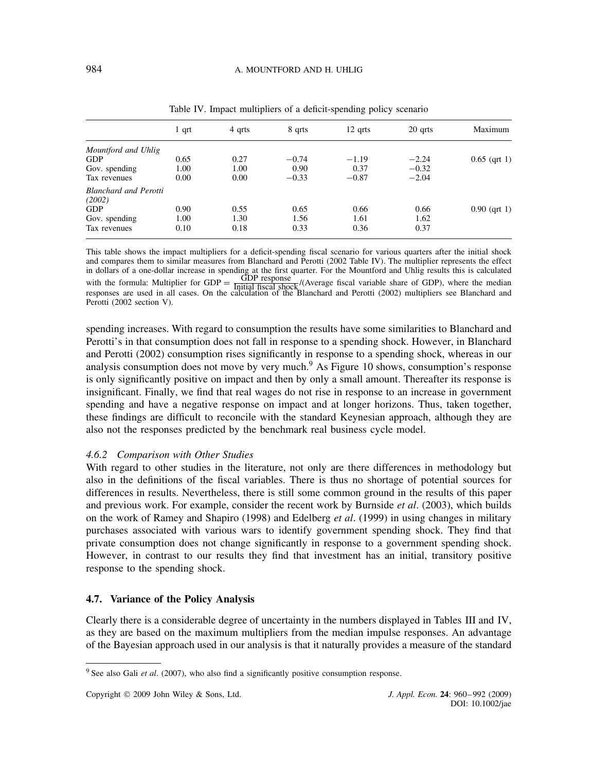|                                        | $1$ qrt | 4 grts | 8 qrts  | 12 grts | 20 grts | Maximum        |
|----------------------------------------|---------|--------|---------|---------|---------|----------------|
| Mountford and Uhlig                    |         |        |         |         |         |                |
| <b>GDP</b>                             | 0.65    | 0.27   | $-0.74$ | $-1.19$ | $-2.24$ | $0.65$ (qrt 1) |
| Gov. spending                          | 1.00    | 1.00   | 0.90    | 0.37    | $-0.32$ |                |
| Tax revenues                           | 0.00    | 0.00   | $-0.33$ | $-0.87$ | $-2.04$ |                |
| <b>Blanchard and Perotti</b><br>(2002) |         |        |         |         |         |                |
| <b>GDP</b>                             | 0.90    | 0.55   | 0.65    | 0.66    | 0.66    | $0.90$ (qrt 1) |
| Gov. spending                          | 1.00    | 1.30   | 1.56    | 1.61    | 1.62    |                |
| Tax revenues                           | 0.10    | 0.18   | 0.33    | 0.36    | 0.37    |                |

Table IV. Impact multipliers of a deficit-spending policy scenario

This table shows the impact multipliers for a deficit-spending fiscal scenario for various quarters after the initial shock and compares them to similar measures from Blanchard and Perotti (2002 Table IV). The multiplier represents the effect in dollars of a one-dollar increase in spending at the first quarter. For the Mountford and Uhlig results this is calculated<br>with the formula: Multiplier for  $GDP = \frac{GDP \text{ response}}{\text{Initial}}$  (Average fiscal variable share of GDP), wh Perotti (2002 section V).

spending increases. With regard to consumption the results have some similarities to Blanchard and Perotti's in that consumption does not fall in response to a spending shock. However, in Blanchard and Perotti (2002) consumption rises significantly in response to a spending shock, whereas in our analysis consumption does not move by very much.<sup>9</sup> As Figure 10 shows, consumption's response is only significantly positive on impact and then by only a small amount. Thereafter its response is insignificant. Finally, we find that real wages do not rise in response to an increase in government spending and have a negative response on impact and at longer horizons. Thus, taken together, these findings are difficult to reconcile with the standard Keynesian approach, although they are also not the responses predicted by the benchmark real business cycle model.

### *4.6.2 Comparison with Other Studies*

With regard to other studies in the literature, not only are there differences in methodology but also in the definitions of the fiscal variables. There is thus no shortage of potential sources for differences in results. Nevertheless, there is still some common ground in the results of this paper and previous work. For example, consider the recent work by Burnside *et al*. (2003), which builds on the work of Ramey and Shapiro (1998) and Edelberg *et al*. (1999) in using changes in military purchases associated with various wars to identify government spending shock. They find that private consumption does not change significantly in response to a government spending shock. However, in contrast to our results they find that investment has an initial, transitory positive response to the spending shock.

### **4.7. Variance of the Policy Analysis**

Clearly there is a considerable degree of uncertainty in the numbers displayed in Tables III and IV, as they are based on the maximum multipliers from the median impulse responses. An advantage of the Bayesian approach used in our analysis is that it naturally provides a measure of the standard

<sup>&</sup>lt;sup>9</sup> See also Gali *et al.* (2007), who also find a significantly positive consumption response.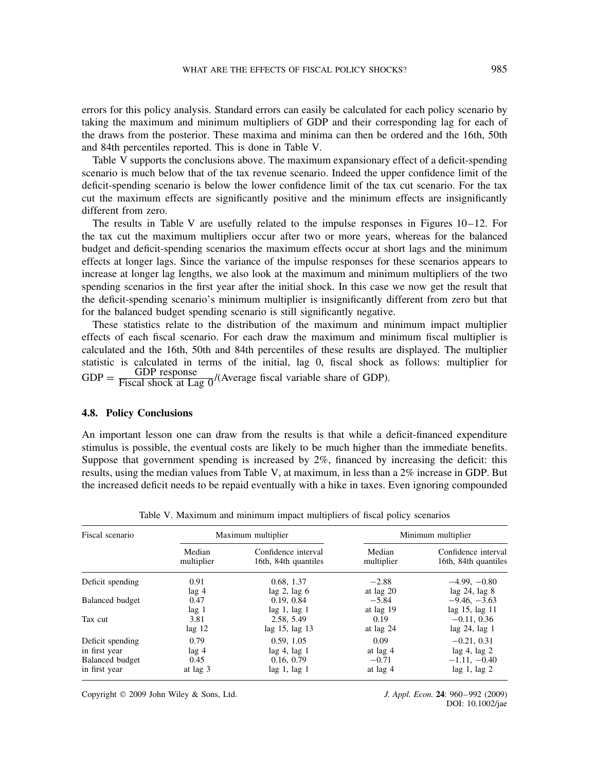errors for this policy analysis. Standard errors can easily be calculated for each policy scenario by taking the maximum and minimum multipliers of GDP and their corresponding lag for each of the draws from the posterior. These maxima and minima can then be ordered and the 16th, 50th and 84th percentiles reported. This is done in Table V.

Table V supports the conclusions above. The maximum expansionary effect of a deficit-spending scenario is much below that of the tax revenue scenario. Indeed the upper confidence limit of the deficit-spending scenario is below the lower confidence limit of the tax cut scenario. For the tax cut the maximum effects are significantly positive and the minimum effects are insignificantly different from zero.

The results in Table V are usefully related to the impulse responses in Figures 10–12. For the tax cut the maximum multipliers occur after two or more years, whereas for the balanced budget and deficit-spending scenarios the maximum effects occur at short lags and the minimum effects at longer lags. Since the variance of the impulse responses for these scenarios appears to increase at longer lag lengths, we also look at the maximum and minimum multipliers of the two spending scenarios in the first year after the initial shock. In this case we now get the result that the deficit-spending scenario's minimum multiplier is insignificantly different from zero but that for the balanced budget spending scenario is still significantly negative.

These statistics relate to the distribution of the maximum and minimum impact multiplier effects of each fiscal scenario. For each draw the maximum and minimum fiscal multiplier is calculated and the 16th, 50th and 84th percentiles of these results are displayed. The multiplier statistic is calculated in terms of the initial, lag 0, fiscal shock as follows: multiplier for  $GDP = \frac{GDP \text{ response}}{\text{Fixed shock at } \text{Lag } 0}$ /(Average fiscal variable share of GDP).

#### **4.8. Policy Conclusions**

An important lesson one can draw from the results is that while a deficit-financed expenditure stimulus is possible, the eventual costs are likely to be much higher than the immediate benefits. Suppose that government spending is increased by 2%, financed by increasing the deficit: this results, using the median values from Table V, at maximum, in less than a 2% increase in GDP. But the increased deficit needs to be repaid eventually with a hike in taxes. Even ignoring compounded

Table V. Maximum and minimum impact multipliers of fiscal policy scenarios

| Fiscal scenario  |                      | Maximum multiplier                          | Minimum multiplier   |                                             |  |
|------------------|----------------------|---------------------------------------------|----------------------|---------------------------------------------|--|
|                  | Median<br>multiplier | Confidence interval<br>16th, 84th quantiles | Median<br>multiplier | Confidence interval<br>16th, 84th quantiles |  |
| Deficit spending | 0.91                 | 0.68, 1.37                                  | $-2.88$              | $-4.99, -0.80$                              |  |
|                  | lag <sub>4</sub>     | lag 2, lag 6                                | at $\log 20$         | lag 24, lag 8                               |  |
| Balanced budget  | 0.47                 | 0.19, 0.84                                  | $-5.84$              | $-9.46, -3.63$                              |  |
|                  | lag <sub>1</sub>     | lag 1, lag 1                                | at $\log 19$         | lag 15, lag 11                              |  |
| Tax cut          | 3.81                 | 2.58, 5.49                                  | 0.19                 | $-0.11, 0.36$                               |  |
|                  | lag <sub>12</sub>    | $lag$ 15, $lag$ 13                          | at lag 24            | lag 24, lag 1                               |  |
| Deficit spending | 0.79                 | 0.59, 1.05                                  | 0.09                 | $-0.21, 0.31$                               |  |
| in first year    | lag <sub>4</sub>     | $\log 4$ , $\log 1$                         | at $\log 4$          | $\log 4$ , $\log 2$                         |  |
| Balanced budget  | 0.45                 | 0.16, 0.79                                  | $-0.71$              | $-1.11, -0.40$                              |  |
| in first year    | at lag 3             | lag 1, lag 1                                | at $\log 4$          | lag 1, lag 2                                |  |

Copyright 2009 John Wiley & Sons, Ltd. *J. Appl. Econ.* **24**: 960–992 (2009)

DOI: 10.1002/jae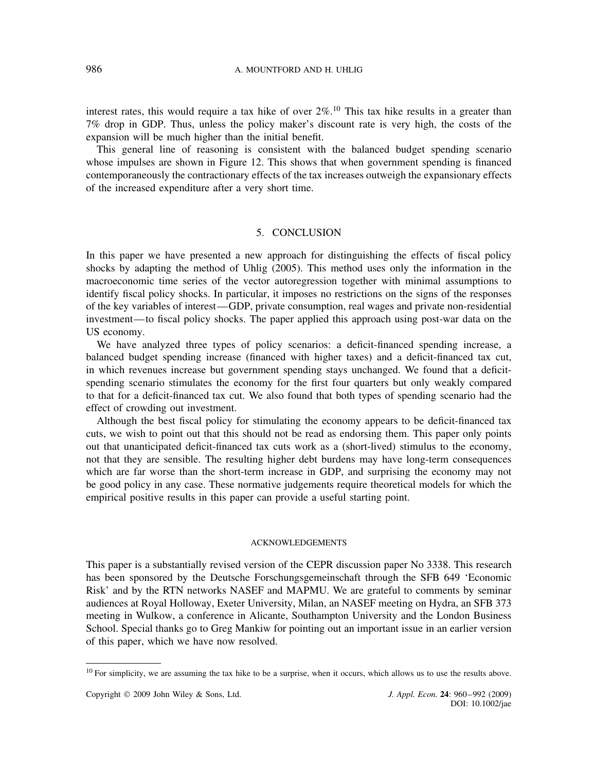interest rates, this would require a tax hike of over  $2\%$ .<sup>10</sup> This tax hike results in a greater than 7% drop in GDP. Thus, unless the policy maker's discount rate is very high, the costs of the expansion will be much higher than the initial benefit.

This general line of reasoning is consistent with the balanced budget spending scenario whose impulses are shown in Figure 12. This shows that when government spending is financed contemporaneously the contractionary effects of the tax increases outweigh the expansionary effects of the increased expenditure after a very short time.

# 5. CONCLUSION

In this paper we have presented a new approach for distinguishing the effects of fiscal policy shocks by adapting the method of Uhlig (2005). This method uses only the information in the macroeconomic time series of the vector autoregression together with minimal assumptions to identify fiscal policy shocks. In particular, it imposes no restrictions on the signs of the responses of the key variables of interest—GDP, private consumption, real wages and private non-residential investment—to fiscal policy shocks. The paper applied this approach using post-war data on the US economy.

We have analyzed three types of policy scenarios: a deficit-financed spending increase, a balanced budget spending increase (financed with higher taxes) and a deficit-financed tax cut, in which revenues increase but government spending stays unchanged. We found that a deficitspending scenario stimulates the economy for the first four quarters but only weakly compared to that for a deficit-financed tax cut. We also found that both types of spending scenario had the effect of crowding out investment.

Although the best fiscal policy for stimulating the economy appears to be deficit-financed tax cuts, we wish to point out that this should not be read as endorsing them. This paper only points out that unanticipated deficit-financed tax cuts work as a (short-lived) stimulus to the economy, not that they are sensible. The resulting higher debt burdens may have long-term consequences which are far worse than the short-term increase in GDP, and surprising the economy may not be good policy in any case. These normative judgements require theoretical models for which the empirical positive results in this paper can provide a useful starting point.

#### ACKNOWLEDGEMENTS

This paper is a substantially revised version of the CEPR discussion paper No 3338. This research has been sponsored by the Deutsche Forschungsgemeinschaft through the SFB 649 'Economic Risk' and by the RTN networks NASEF and MAPMU. We are grateful to comments by seminar audiences at Royal Holloway, Exeter University, Milan, an NASEF meeting on Hydra, an SFB 373 meeting in Wulkow, a conference in Alicante, Southampton University and the London Business School. Special thanks go to Greg Mankiw for pointing out an important issue in an earlier version of this paper, which we have now resolved.

 $10$  For simplicity, we are assuming the tax hike to be a surprise, when it occurs, which allows us to use the results above.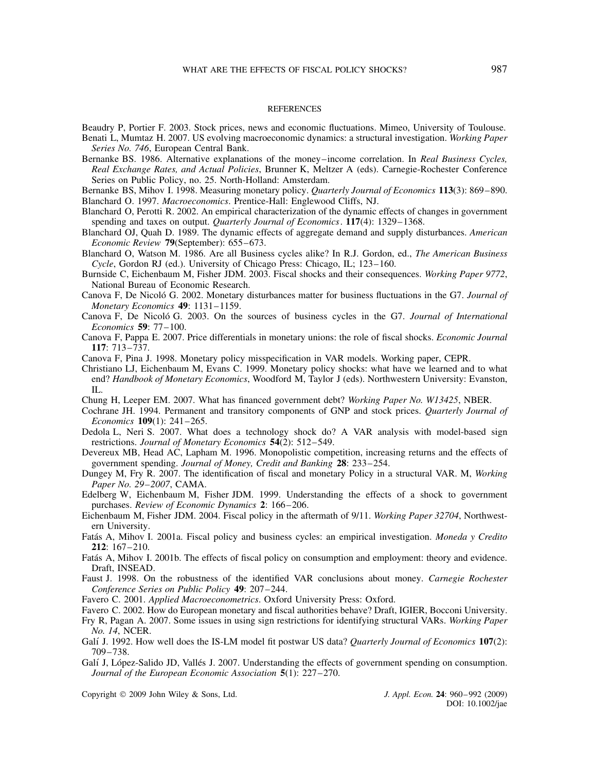#### **REFERENCES**

Beaudry P, Portier F. 2003. Stock prices, news and economic fluctuations. Mimeo, University of Toulouse.

- Benati L, Mumtaz H. 2007. US evolving macroeconomic dynamics: a structural investigation. *Working Paper Series No. 746*, European Central Bank.
- Bernanke BS. 1986. Alternative explanations of the money–income correlation. In *Real Business Cycles, Real Exchange Rates, and Actual Policies*, Brunner K, Meltzer A (eds). Carnegie-Rochester Conference Series on Public Policy, no. 25. North-Holland: Amsterdam.

Bernanke BS, Mihov I. 1998. Measuring monetary policy. *Quarterly Journal of Economics* **113**(3): 869–890. Blanchard O. 1997. *Macroeconomics*. Prentice-Hall: Englewood Cliffs, NJ.

- Blanchard O, Perotti R. 2002. An empirical characterization of the dynamic effects of changes in government spending and taxes on output. *Quarterly Journal of Economics*. **117**(4): 1329–1368.
- Blanchard OJ, Quah D. 1989. The dynamic effects of aggregate demand and supply disturbances. *American Economic Review* **79**(September): 655–673.
- Blanchard O, Watson M. 1986. Are all Business cycles alike? In R.J. Gordon, ed., *The American Business Cycle*, Gordon RJ (ed.). University of Chicago Press: Chicago, IL; 123–160.
- Burnside C, Eichenbaum M, Fisher JDM. 2003. Fiscal shocks and their consequences. *Working Paper 9772*, National Bureau of Economic Research.
- Canova F, De Nicoló G. 2002. Monetary disturbances matter for business fluctuations in the G7. *Journal of Monetary Economics* **49**: 1131–1159.
- Canova F, De Nicoló G. 2003. On the sources of business cycles in the G7. *Journal of International Economics* **59**: 77–100.
- Canova F, Pappa E. 2007. Price differentials in monetary unions: the role of fiscal shocks. *Economic Journal* **117**: 713–737.
- Canova F, Pina J. 1998. Monetary policy misspecification in VAR models. Working paper, CEPR.
- Christiano LJ, Eichenbaum M, Evans C. 1999. Monetary policy shocks: what have we learned and to what end? *Handbook of Monetary Economics*, Woodford M, Taylor J (eds). Northwestern University: Evanston, IL.
- Chung H, Leeper EM. 2007. What has financed government debt? *Working Paper No. W13425*, NBER.
- Cochrane JH. 1994. Permanent and transitory components of GNP and stock prices. *Quarterly Journal of Economics* **109**(1): 241–265.
- Dedola L, Neri S. 2007. What does a technology shock do? A VAR analysis with model-based sign restrictions. *Journal of Monetary Economics* **54**(2): 512–549.
- Devereux MB, Head AC, Lapham M. 1996. Monopolistic competition, increasing returns and the effects of government spending. *Journal of Money, Credit and Banking* **28**: 233–254.
- Dungey M, Fry R. 2007. The identification of fiscal and monetary Policy in a structural VAR. M, *Working Paper No. 29–2007*, CAMA.
- Edelberg W, Eichenbaum M, Fisher JDM. 1999. Understanding the effects of a shock to government purchases. *Review of Economic Dynamics* **2**: 166–206.
- Eichenbaum M, Fisher JDM. 2004. Fiscal policy in the aftermath of 9/11. *Working Paper 32704*, Northwestern University.
- Fatás A, Mihov I. 2001a. Fiscal policy and business cycles: an empirical investigation. *Moneda y Credito* **212**: 167–210.
- Fatás A, Mihov I. 2001b. The effects of fiscal policy on consumption and employment: theory and evidence. Draft, INSEAD.
- Faust J. 1998. On the robustness of the identified VAR conclusions about money. *Carnegie Rochester Conference Series on Public Policy* **49**: 207–244.
- Favero C. 2001. *Applied Macroeconometrics*. Oxford University Press: Oxford.
- Favero C. 2002. How do European monetary and fiscal authorities behave? Draft, IGIER, Bocconi University.
- Fry R, Pagan A. 2007. Some issues in using sign restrictions for identifying structural VARs. *Working Paper No. 14*, NCER.
- Galí J. 1992. How well does the IS-LM model fit postwar US data? *Quarterly Journal of Economics* 107(2): 709–738.
- Galí J, López-Salido JD, Vallés J. 2007. Understanding the effects of government spending on consumption. *Journal of the European Economic Association* **5**(1): 227–270.

Copyright 2009 John Wiley & Sons, Ltd. *J. Appl. Econ.* **24**: 960–992 (2009)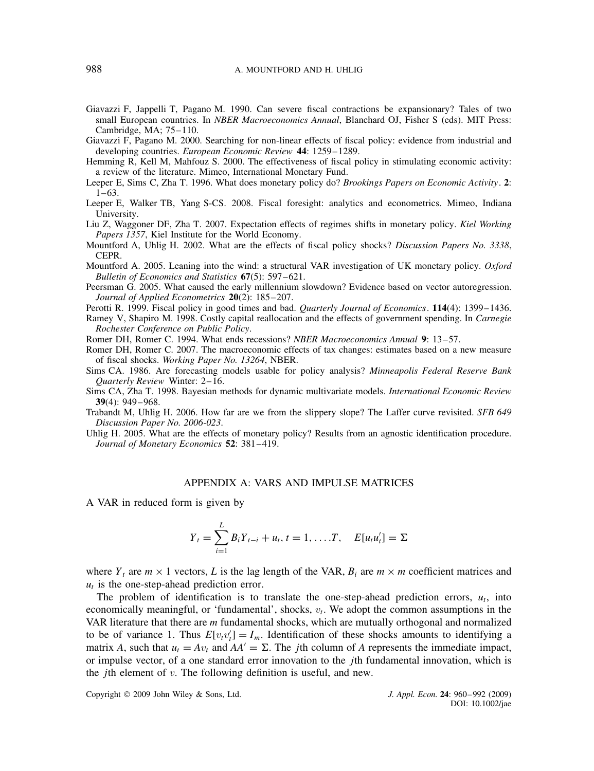- Giavazzi F, Jappelli T, Pagano M. 1990. Can severe fiscal contractions be expansionary? Tales of two small European countries. In *NBER Macroeconomics Annual*, Blanchard OJ, Fisher S (eds). MIT Press: Cambridge, MA; 75–110.
- Giavazzi F, Pagano M. 2000. Searching for non-linear effects of fiscal policy: evidence from industrial and developing countries. *European Economic Review* **44**: 1259–1289.
- Hemming R, Kell M, Mahfouz S. 2000. The effectiveness of fiscal policy in stimulating economic activity: a review of the literature. Mimeo, International Monetary Fund.
- Leeper E, Sims C, Zha T. 1996. What does monetary policy do? *Brookings Papers on Economic Activity*. **2**:  $1-63.$
- Leeper E, Walker TB, Yang S-CS. 2008. Fiscal foresight: analytics and econometrics. Mimeo, Indiana University.
- Liu Z, Waggoner DF, Zha T. 2007. Expectation effects of regimes shifts in monetary policy. *Kiel Working Papers 1357*, Kiel Institute for the World Economy.
- Mountford A, Uhlig H. 2002. What are the effects of fiscal policy shocks? *Discussion Papers No. 3338*, CEPR.
- Mountford A. 2005. Leaning into the wind: a structural VAR investigation of UK monetary policy. *Oxford Bulletin of Economics and Statistics* **67**(5): 597–621.
- Peersman G. 2005. What caused the early millennium slowdown? Evidence based on vector autoregression. *Journal of Applied Econometrics* **20**(2): 185–207.
- Perotti R. 1999. Fiscal policy in good times and bad. *Quarterly Journal of Economics*. **114**(4): 1399–1436.
- Ramey V, Shapiro M. 1998. Costly capital reallocation and the effects of government spending. In *Carnegie Rochester Conference on Public Policy*.
- Romer DH, Romer C. 1994. What ends recessions? *NBER Macroeconomics Annual* **9**: 13–57.
- Romer DH, Romer C. 2007. The macroeconomic effects of tax changes: estimates based on a new measure of fiscal shocks. *Working Paper No. 13264*, NBER.
- Sims CA. 1986. Are forecasting models usable for policy analysis? *Minneapolis Federal Reserve Bank Quarterly Review* Winter: 2–16.
- Sims CA, Zha T. 1998. Bayesian methods for dynamic multivariate models. *International Economic Review* **39**(4): 949–968.
- Trabandt M, Uhlig H. 2006. How far are we from the slippery slope? The Laffer curve revisited. *SFB 649 Discussion Paper No. 2006-023*.
- Uhlig H. 2005. What are the effects of monetary policy? Results from an agnostic identification procedure. *Journal of Monetary Economics* **52**: 381–419.

#### APPENDIX A: VARS AND IMPULSE MATRICES

A VAR in reduced form is given by

$$
Y_t = \sum_{i=1}^L B_i Y_{t-i} + u_t, t = 1, \dots, T, \quad E[u_t u'_t] = \Sigma
$$

where  $Y_t$  are  $m \times 1$  vectors, L is the lag length of the VAR,  $B_i$  are  $m \times m$  coefficient matrices and  $u_t$  is the one-step-ahead prediction error.

The problem of identification is to translate the one-step-ahead prediction errors,  $u_t$ , into economically meaningful, or 'fundamental', shocks,  $v_t$ . We adopt the common assumptions in the VAR literature that there are m fundamental shocks, which are mutually orthogonal and normalized to be of variance 1. Thus  $E[v_i v'_i] = I_m$ . Identification of these shocks amounts to identifying a matrix A, such that  $u_t = Av_t$  and  $AA' = \Sigma$ . The jth column of A represents the immediate impact, or impulse vector, of a one standard error innovation to the jth fundamental innovation, which is the *j*th element of  $v$ . The following definition is useful, and new.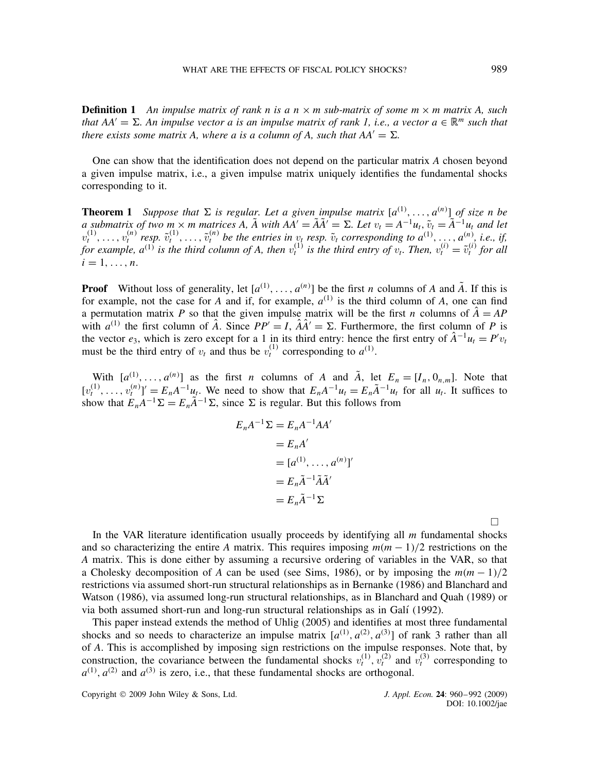**Definition 1** An impulse matrix of rank n is a  $n \times m$  sub-matrix of some  $m \times m$  matrix A, such *that*  $AA' = \Sigma$ . An impulse vector a is an impulse matrix of rank 1, i.e., a vector  $a \in \mathbb{R}^m$  such that *there exists some matrix A, where a is a column of A, such that*  $AA' = \Sigma$ .

One can show that the identification does not depend on the particular matrix A chosen beyond a given impulse matrix, i.e., a given impulse matrix uniquely identifies the fundamental shocks corresponding to it.

**Theorem 1** Suppose that  $\Sigma$  is regular. Let a given impulse matrix  $[a^{(1)},...,a^{(n)}]$  of size n be *a submatrix of two*  $m \times m$  *matrices A,*  $\tilde{A}$  *with*  $AA' = \tilde{A}\tilde{A}' = \Sigma$ . Let  $v_t = A^{-1}u_t$ ,  $\tilde{v}_t = \tilde{A}^{-1}u_t$  and let  $v_t^{(1)}, \ldots, v_t^{(n)}$  resp.  $\tilde{v}_t^{(1)}, \ldots, \tilde{v}_t^{(n)}$  be the entries in  $v_t$  resp.  $\tilde{v}_t$  corresponding to  $a^{(1)}, \ldots, a^{(n)}$ , i.e., if, for example,  $a^{(1)}$  is the third column of A, then  $v_t^{(1)}$  is the third entry of  $v_t$ . Then,  $v_t^{(i)} = \tilde{v}_t^{(i)}$  for all  $i = 1, \ldots, n$ .

**Proof** Without loss of generality, let  $[a^{(1)},..., a^{(n)}]$  be the first *n* columns of *A* and  $\tilde{A}$ . If this is for example, not the case for A and if, for example,  $a^{(1)}$  is the third column of A, one can find a permutation matrix P so that the given impulse matrix will be the first n columns of  $\hat{A} = AP$ with  $a^{(1)}$  the first column of  $\hat{A}$ . Since  $PP' = I$ ,  $\hat{A}\hat{A}' = \Sigma$ . Furthermore, the first column of P is the vector  $e_3$ , which is zero except for a 1 in its third entry: hence the first entry of  $\hat{A}^{-1}u_t = P'v_t$ must be the third entry of  $v_t$  and thus be  $v_t^{(1)}$  corresponding to  $a^{(1)}$ .

With  $[a^{(1)},...,a^{(n)}]$  as the first *n* columns of *A* and  $\tilde{A}$ , let  $E_n = [I_n, 0_{n,m}]$ . Note that  $[v_t^{(1)}, \ldots, v_t^{(n)}]' = E_n A^{-1} u_t$ . We need to show that  $E_n A^{-1} u_t = E_n \tilde{A}^{-1} u_t$  for all  $u_t$ . It suffices to show that  $E_n A^{-1} \Sigma = E_n \tilde{A}^{-1} \Sigma$ , since  $\Sigma$  is regular. But this follows from

$$
E_n A^{-1} \Sigma = E_n A^{-1} A A'
$$
  
=  $E_n A'$   
=  $[a^{(1)}, \dots, a^{(n)}]'$   
=  $E_n \tilde{A}^{-1} \tilde{A} \tilde{A}'$   
=  $E_n \tilde{A}^{-1} \Sigma$ 

 $\Box$ 

In the VAR literature identification usually proceeds by identifying all  $m$  fundamental shocks and so characterizing the entire A matrix. This requires imposing  $m(m-1)/2$  restrictions on the A matrix. This is done either by assuming a recursive ordering of variables in the VAR, so that a Cholesky decomposition of A can be used (see Sims, 1986), or by imposing the  $m(m-1)/2$ restrictions via assumed short-run structural relationships as in Bernanke (1986) and Blanchard and Watson (1986), via assumed long-run structural relationships, as in Blanchard and Quah (1989) or via both assumed short-run and long-run structural relationships as in Galí (1992).

This paper instead extends the method of Uhlig (2005) and identifies at most three fundamental shocks and so needs to characterize an impulse matrix  $[a^{(1)}, a^{(2)}, a^{(3)}]$  of rank 3 rather than all of A. This is accomplished by imposing sign restrictions on the impulse responses. Note that, by construction, the covariance between the fundamental shocks  $v_t^{(1)}$ ,  $v_t^{(2)}$  and  $v_t^{(3)}$  corresponding to  $a^{(1)}$ ,  $a^{(2)}$  and  $a^{(3)}$  is zero, i.e., that these fundamental shocks are orthogonal.

Copyright 2009 John Wiley & Sons, Ltd. *J. Appl. Econ.* **24**: 960–992 (2009)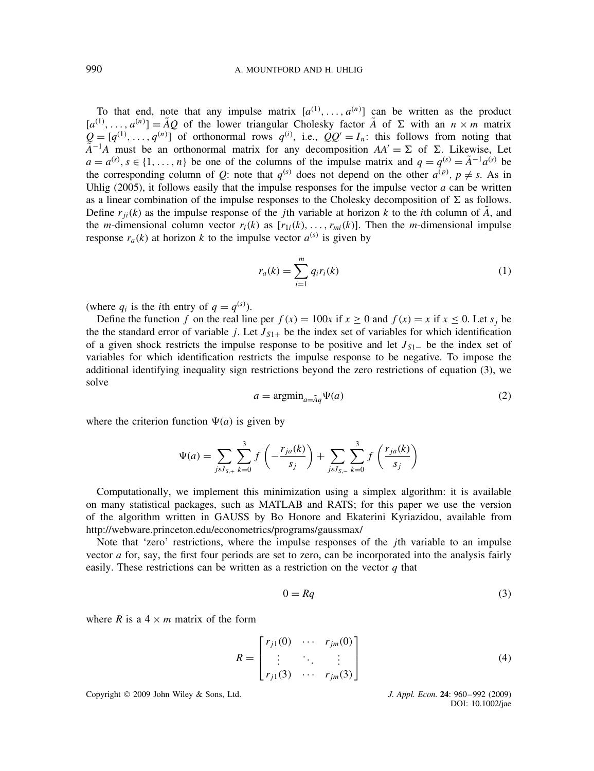To that end, note that any impulse matrix  $[a^{(1)},..., a^{(n)}]$  can be written as the product  $[a^{(1)},..., a^{(n)}] = \tilde{A}Q$  of the lower triangular Cholesky factor  $\tilde{A}$  of  $\Sigma$  with an  $n \times m$  matrix  $Q = [q^{(1)}, \ldots, q^{(n)}]$  of orthonormal rows  $q^{(i)}$ , i.e.,  $QQ' = I_n$ : this follows from noting that  $A^{-1}A$  must be an orthonormal matrix for any decomposition  $AA' = \Sigma$  of  $\Sigma$ . Likewise, Let  $a = a^{(s)}, s \in \{1, \ldots, n\}$  be one of the columns of the impulse matrix and  $q = q^{(s)} = \tilde{A}^{-1} a^{(s)}$  be the corresponding column of Q: note that  $q^{(s)}$  does not depend on the other  $a^{(p)}$ ,  $p \neq s$ . As in Uhlig (2005), it follows easily that the impulse responses for the impulse vector  $a$  can be written as a linear combination of the impulse responses to the Cholesky decomposition of  $\Sigma$  as follows. Define  $r_{ji}(k)$  as the impulse response of the *j*th variable at horizon k to the *i*th column of  $\tilde{A}$ , and the *m*-dimensional column vector  $r_i(k)$  as  $[r_{1i}(k), \ldots, r_{mi}(k)]$ . Then the *m*-dimensional impulse response  $r_a(k)$  at horizon k to the impulse vector  $a^{(s)}$  is given by

$$
r_a(k) = \sum_{i=1}^m q_i r_i(k) \tag{1}
$$

(where  $q_i$  is the *i*th entry of  $q = q^{(s)}$ ).

Define the function f on the real line per  $f(x) = 100x$  if  $x \ge 0$  and  $f(x) = x$  if  $x \le 0$ . Let  $s_j$  be the the standard error of variable j. Let  $J_{S1+}$  be the index set of variables for which identification of a given shock restricts the impulse response to be positive and let  $J_{S1}$  be the index set of variables for which identification restricts the impulse response to be negative. To impose the additional identifying inequality sign restrictions beyond the zero restrictions of equation (3), we solve

$$
a = \operatorname{argmin}_{a = \tilde{A}q} \Psi(a) \tag{2}
$$

where the criterion function  $\Psi(a)$  is given by

$$
\Psi(a) = \sum_{j \in J_{S,+}} \sum_{k=0}^{3} f\left(-\frac{r_{ja}(k)}{s_j}\right) + \sum_{j \in J_{S,-}} \sum_{k=0}^{3} f\left(\frac{r_{ja}(k)}{s_j}\right)
$$

Computationally, we implement this minimization using a simplex algorithm: it is available on many statistical packages, such as MATLAB and RATS; for this paper we use the version of the algorithm written in GAUSS by Bo Honore and Ekaterini Kyriazidou, available from http://webware.princeton.edu/econometrics/programs/gaussmax/

Note that 'zero' restrictions, where the impulse responses of the jth variable to an impulse vector a for, say, the first four periods are set to zero, can be incorporated into the analysis fairly easily. These restrictions can be written as a restriction on the vector  $q$  that

$$
0 = Rq \tag{3}
$$

where R is a  $4 \times m$  matrix of the form

$$
R = \begin{bmatrix} r_{j1}(0) & \cdots & r_{jm}(0) \\ \vdots & \ddots & \vdots \\ r_{j1}(3) & \cdots & r_{jm}(3) \end{bmatrix}
$$
 (4)

Copyright 2009 John Wiley & Sons, Ltd. *J. Appl. Econ.* **24**: 960–992 (2009)

DOI: 10.1002/jae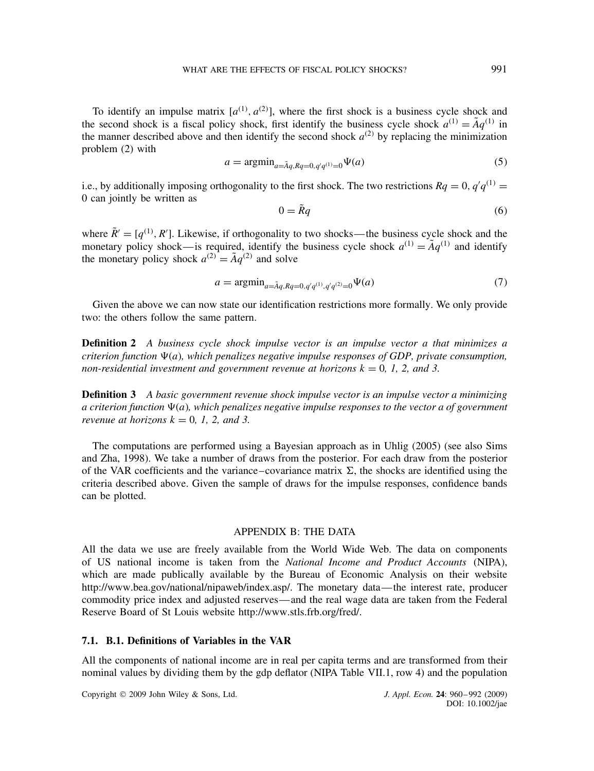To identify an impulse matrix  $[a^{(1)}, a^{(2)}]$ , where the first shock is a business cycle shock and the second shock is a fiscal policy shock, first identify the business cycle shock  $a^{(1)} = \tilde{A}q^{(1)}$  in the manner described above and then identify the second shock  $a^{(2)}$  by replacing the minimization problem (2) with

$$
a = \operatorname{argmin}_{a = \tilde{A}q, Rq = 0, q'q^{(1)} = 0} \Psi(a)
$$
\n(5)

i.e., by additionally imposing orthogonality to the first shock. The two restrictions  $Rq = 0$ ,  $q'q^{(1)} =$ 0 can jointly be written as

$$
0 = \tilde{R}q \tag{6}
$$

where  $\tilde{R}' = [q^{(1)}, R']$ . Likewise, if orthogonality to two shocks—the business cycle shock and the monetary policy shock—is required, identify the business cycle shock  $a^{(1)} = \tilde{A}q^{(1)}$  and identify the monetary policy shock  $a^{(2)} = \tilde{A}q^{(2)}$  and solve

$$
a = \operatorname{argmin}_{a = \tilde{A}q, Rq = 0, q'q^{(1)}, q'q^{(2)} = 0} \Psi(a)
$$
\n<sup>(7)</sup>

Given the above we can now state our identification restrictions more formally. We only provide two: the others follow the same pattern.

**Definition 2** *A business cycle shock impulse vector is an impulse vector a that minimizes a*  $c$ riterion function  $\Psi(a)$ , which penalizes negative impulse responses of GDP, private consumption, *non-residential investment and government revenue at horizons*  $k = 0, 1, 2,$  and 3.

**Definition 3** *A basic government revenue shock impulse vector is an impulse vector a minimizing*  $a$  criterion function  $\Psi(a)$ , which penalizes negative impulse responses to the vector  $a$  of government *revenue at horizons*  $k = 0, 1, 2,$  and 3.

The computations are performed using a Bayesian approach as in Uhlig (2005) (see also Sims and Zha, 1998). We take a number of draws from the posterior. For each draw from the posterior of the VAR coefficients and the variance–covariance matrix  $\Sigma$ , the shocks are identified using the criteria described above. Given the sample of draws for the impulse responses, confidence bands can be plotted.

### APPENDIX B: THE DATA

All the data we use are freely available from the World Wide Web. The data on components of US national income is taken from the *National Income and Product Accounts* (NIPA), which are made publically available by the Bureau of Economic Analysis on their website http://www.bea.gov/national/nipaweb/index.asp/. The monetary data—the interest rate, producer commodity price index and adjusted reserves—and the real wage data are taken from the Federal Reserve Board of St Louis website http://www.stls.frb.org/fred/.

# **7.1. B.1. Definitions of Variables in the VAR**

All the components of national income are in real per capita terms and are transformed from their nominal values by dividing them by the gdp deflator (NIPA Table VII.1, row 4) and the population